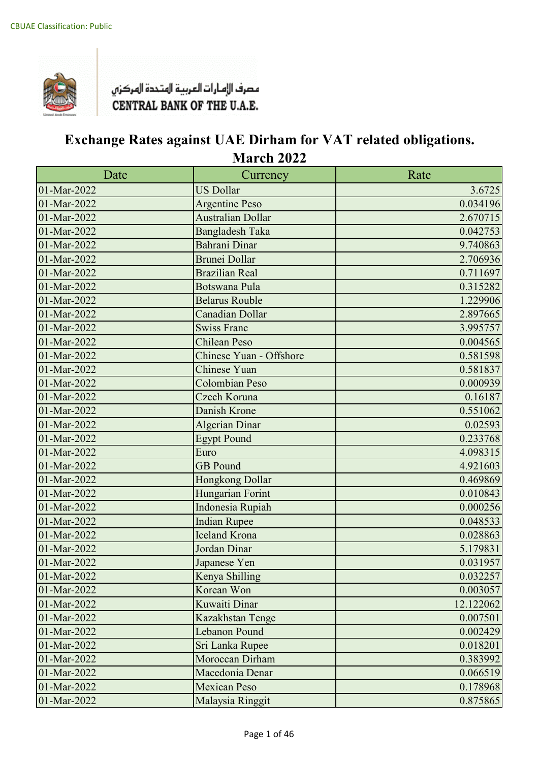

| Date                     | Currency                 | Rate      |
|--------------------------|--------------------------|-----------|
| 01-Mar-2022              | <b>US Dollar</b>         | 3.6725    |
| 01-Mar-2022              | <b>Argentine Peso</b>    | 0.034196  |
| 01-Mar-2022              | <b>Australian Dollar</b> | 2.670715  |
| 01-Mar-2022              | <b>Bangladesh Taka</b>   | 0.042753  |
| 01-Mar-2022              | Bahrani Dinar            | 9.740863  |
| 01-Mar-2022              | <b>Brunei Dollar</b>     | 2.706936  |
| 01-Mar-2022              | <b>Brazilian Real</b>    | 0.711697  |
| 01-Mar-2022              | <b>Botswana Pula</b>     | 0.315282  |
| 01-Mar-2022              | <b>Belarus Rouble</b>    | 1.229906  |
| 01-Mar-2022              | Canadian Dollar          | 2.897665  |
| 01-Mar-2022              | <b>Swiss Franc</b>       | 3.995757  |
| 01-Mar-2022              | <b>Chilean Peso</b>      | 0.004565  |
| $\overline{01-Mar-2022}$ | Chinese Yuan - Offshore  | 0.581598  |
| 01-Mar-2022              | Chinese Yuan             | 0.581837  |
| 01-Mar-2022              | Colombian Peso           | 0.000939  |
| 01-Mar-2022              | Czech Koruna             | 0.16187   |
| 01-Mar-2022              | Danish Krone             | 0.551062  |
| 01-Mar-2022              | <b>Algerian Dinar</b>    | 0.02593   |
| 01-Mar-2022              | <b>Egypt Pound</b>       | 0.233768  |
| 01-Mar-2022              | Euro                     | 4.098315  |
| 01-Mar-2022              | <b>GB</b> Pound          | 4.921603  |
| 01-Mar-2022              | Hongkong Dollar          | 0.469869  |
| 01-Mar-2022              | Hungarian Forint         | 0.010843  |
| 01-Mar-2022              | Indonesia Rupiah         | 0.000256  |
| 01-Mar-2022              | <b>Indian Rupee</b>      | 0.048533  |
| 01-Mar-2022              | <b>Iceland Krona</b>     | 0.028863  |
| 01-Mar-2022              | Jordan Dinar             | 5.179831  |
| 01-Mar-2022              | Japanese Yen             | 0.031957  |
| 01-Mar-2022              | Kenya Shilling           | 0.032257  |
| 01-Mar-2022              | Korean Won               | 0.003057  |
| 01-Mar-2022              | Kuwaiti Dinar            | 12.122062 |
| 01-Mar-2022              | Kazakhstan Tenge         | 0.007501  |
| 01-Mar-2022              | <b>Lebanon Pound</b>     | 0.002429  |
| 01-Mar-2022              | Sri Lanka Rupee          | 0.018201  |
| 01-Mar-2022              | Moroccan Dirham          | 0.383992  |
| 01-Mar-2022              | Macedonia Denar          | 0.066519  |
| 01-Mar-2022              | <b>Mexican Peso</b>      | 0.178968  |
| 01-Mar-2022              | Malaysia Ringgit         | 0.875865  |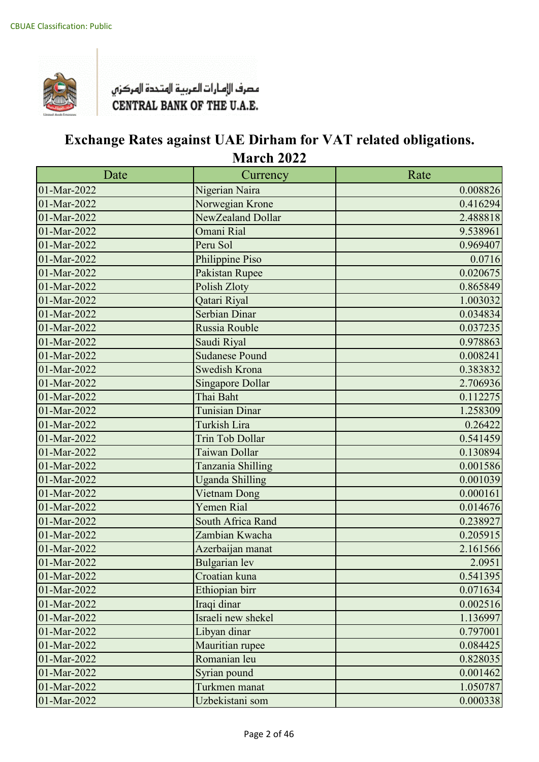

| Date        | Currency                | Rate     |
|-------------|-------------------------|----------|
| 01-Mar-2022 | Nigerian Naira          | 0.008826 |
| 01-Mar-2022 | Norwegian Krone         | 0.416294 |
| 01-Mar-2022 | NewZealand Dollar       | 2.488818 |
| 01-Mar-2022 | Omani Rial              | 9.538961 |
| 01-Mar-2022 | Peru Sol                | 0.969407 |
| 01-Mar-2022 | Philippine Piso         | 0.0716   |
| 01-Mar-2022 | Pakistan Rupee          | 0.020675 |
| 01-Mar-2022 | Polish Zloty            | 0.865849 |
| 01-Mar-2022 | Qatari Riyal            | 1.003032 |
| 01-Mar-2022 | <b>Serbian Dinar</b>    | 0.034834 |
| 01-Mar-2022 | Russia Rouble           | 0.037235 |
| 01-Mar-2022 | Saudi Riyal             | 0.978863 |
| 01-Mar-2022 | <b>Sudanese Pound</b>   | 0.008241 |
| 01-Mar-2022 | <b>Swedish Krona</b>    | 0.383832 |
| 01-Mar-2022 | <b>Singapore Dollar</b> | 2.706936 |
| 01-Mar-2022 | Thai Baht               | 0.112275 |
| 01-Mar-2022 | <b>Tunisian Dinar</b>   | 1.258309 |
| 01-Mar-2022 | <b>Turkish Lira</b>     | 0.26422  |
| 01-Mar-2022 | <b>Trin Tob Dollar</b>  | 0.541459 |
| 01-Mar-2022 | Taiwan Dollar           | 0.130894 |
| 01-Mar-2022 | Tanzania Shilling       | 0.001586 |
| 01-Mar-2022 | <b>Uganda Shilling</b>  | 0.001039 |
| 01-Mar-2022 | Vietnam Dong            | 0.000161 |
| 01-Mar-2022 | <b>Yemen Rial</b>       | 0.014676 |
| 01-Mar-2022 | South Africa Rand       | 0.238927 |
| 01-Mar-2022 | Zambian Kwacha          | 0.205915 |
| 01-Mar-2022 | Azerbaijan manat        | 2.161566 |
| 01-Mar-2022 | <b>Bulgarian</b> lev    | 2.0951   |
| 01-Mar-2022 | Croatian kuna           | 0.541395 |
| 01-Mar-2022 | Ethiopian birr          | 0.071634 |
| 01-Mar-2022 | Iraqi dinar             | 0.002516 |
| 01-Mar-2022 | Israeli new shekel      | 1.136997 |
| 01-Mar-2022 | Libyan dinar            | 0.797001 |
| 01-Mar-2022 | Mauritian rupee         | 0.084425 |
| 01-Mar-2022 | Romanian leu            | 0.828035 |
| 01-Mar-2022 | Syrian pound            | 0.001462 |
| 01-Mar-2022 | Turkmen manat           | 1.050787 |
| 01-Mar-2022 | Uzbekistani som         | 0.000338 |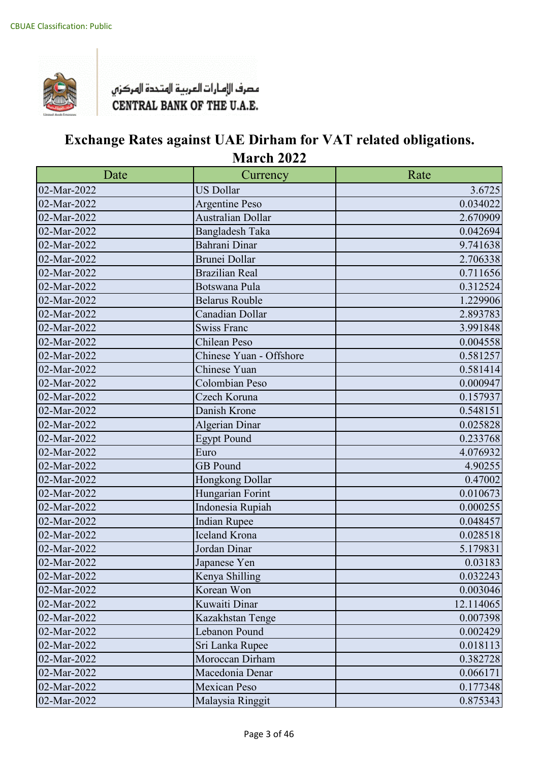

| Date        | Currency                | Rate      |
|-------------|-------------------------|-----------|
| 02-Mar-2022 | <b>US Dollar</b>        | 3.6725    |
| 02-Mar-2022 | <b>Argentine Peso</b>   | 0.034022  |
| 02-Mar-2022 | Australian Dollar       | 2.670909  |
| 02-Mar-2022 | Bangladesh Taka         | 0.042694  |
| 02-Mar-2022 | Bahrani Dinar           | 9.741638  |
| 02-Mar-2022 | <b>Brunei Dollar</b>    | 2.706338  |
| 02-Mar-2022 | <b>Brazilian Real</b>   | 0.711656  |
| 02-Mar-2022 | Botswana Pula           | 0.312524  |
| 02-Mar-2022 | <b>Belarus Rouble</b>   | 1.229906  |
| 02-Mar-2022 | Canadian Dollar         | 2.893783  |
| 02-Mar-2022 | <b>Swiss Franc</b>      | 3.991848  |
| 02-Mar-2022 | Chilean Peso            | 0.004558  |
| 02-Mar-2022 | Chinese Yuan - Offshore | 0.581257  |
| 02-Mar-2022 | Chinese Yuan            | 0.581414  |
| 02-Mar-2022 | Colombian Peso          | 0.000947  |
| 02-Mar-2022 | Czech Koruna            | 0.157937  |
| 02-Mar-2022 | Danish Krone            | 0.548151  |
| 02-Mar-2022 | <b>Algerian Dinar</b>   | 0.025828  |
| 02-Mar-2022 | <b>Egypt Pound</b>      | 0.233768  |
| 02-Mar-2022 | Euro                    | 4.076932  |
| 02-Mar-2022 | <b>GB</b> Pound         | 4.90255   |
| 02-Mar-2022 | Hongkong Dollar         | 0.47002   |
| 02-Mar-2022 | Hungarian Forint        | 0.010673  |
| 02-Mar-2022 | Indonesia Rupiah        | 0.000255  |
| 02-Mar-2022 | <b>Indian Rupee</b>     | 0.048457  |
| 02-Mar-2022 | Iceland Krona           | 0.028518  |
| 02-Mar-2022 | Jordan Dinar            | 5.179831  |
| 02-Mar-2022 | Japanese Yen            | 0.03183   |
| 02-Mar-2022 | Kenya Shilling          | 0.032243  |
| 02-Mar-2022 | Korean Won              | 0.003046  |
| 02-Mar-2022 | Kuwaiti Dinar           | 12.114065 |
| 02-Mar-2022 | Kazakhstan Tenge        | 0.007398  |
| 02-Mar-2022 | Lebanon Pound           | 0.002429  |
| 02-Mar-2022 | Sri Lanka Rupee         | 0.018113  |
| 02-Mar-2022 | Moroccan Dirham         | 0.382728  |
| 02-Mar-2022 | Macedonia Denar         | 0.066171  |
| 02-Mar-2022 | Mexican Peso            | 0.177348  |
| 02-Mar-2022 | Malaysia Ringgit        | 0.875343  |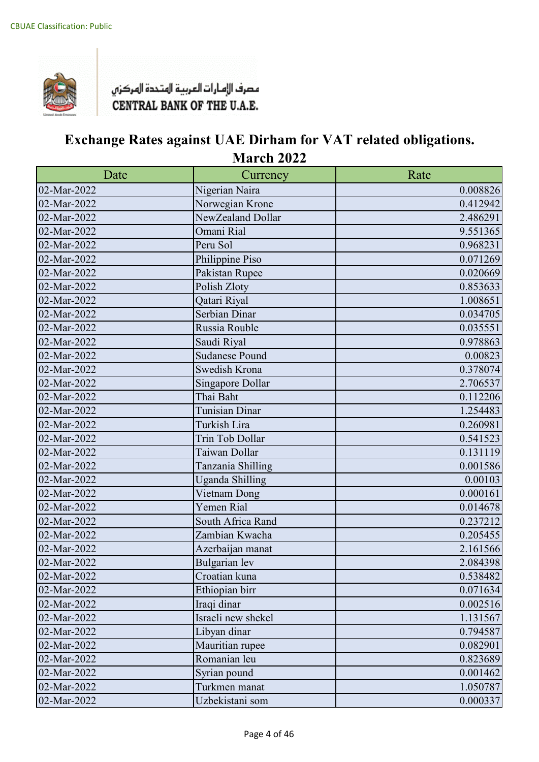

| Date        | Currency               | Rate     |
|-------------|------------------------|----------|
| 02-Mar-2022 | Nigerian Naira         | 0.008826 |
| 02-Mar-2022 | Norwegian Krone        | 0.412942 |
| 02-Mar-2022 | NewZealand Dollar      | 2.486291 |
| 02-Mar-2022 | Omani Rial             | 9.551365 |
| 02-Mar-2022 | Peru Sol               | 0.968231 |
| 02-Mar-2022 | Philippine Piso        | 0.071269 |
| 02-Mar-2022 | Pakistan Rupee         | 0.020669 |
| 02-Mar-2022 | Polish Zloty           | 0.853633 |
| 02-Mar-2022 | Qatari Riyal           | 1.008651 |
| 02-Mar-2022 | Serbian Dinar          | 0.034705 |
| 02-Mar-2022 | Russia Rouble          | 0.035551 |
| 02-Mar-2022 | Saudi Riyal            | 0.978863 |
| 02-Mar-2022 | Sudanese Pound         | 0.00823  |
| 02-Mar-2022 | Swedish Krona          | 0.378074 |
| 02-Mar-2022 | Singapore Dollar       | 2.706537 |
| 02-Mar-2022 | Thai Baht              | 0.112206 |
| 02-Mar-2022 | Tunisian Dinar         | 1.254483 |
| 02-Mar-2022 | Turkish Lira           | 0.260981 |
| 02-Mar-2022 | Trin Tob Dollar        | 0.541523 |
| 02-Mar-2022 | Taiwan Dollar          | 0.131119 |
| 02-Mar-2022 | Tanzania Shilling      | 0.001586 |
| 02-Mar-2022 | <b>Uganda Shilling</b> | 0.00103  |
| 02-Mar-2022 | Vietnam Dong           | 0.000161 |
| 02-Mar-2022 | Yemen Rial             | 0.014678 |
| 02-Mar-2022 | South Africa Rand      | 0.237212 |
| 02-Mar-2022 | Zambian Kwacha         | 0.205455 |
| 02-Mar-2022 | Azerbaijan manat       | 2.161566 |
| 02-Mar-2022 | <b>Bulgarian</b> lev   | 2.084398 |
| 02-Mar-2022 | Croatian kuna          | 0.538482 |
| 02-Mar-2022 | Ethiopian birr         | 0.071634 |
| 02-Mar-2022 | Iraqi dinar            | 0.002516 |
| 02-Mar-2022 | Israeli new shekel     | 1.131567 |
| 02-Mar-2022 | Libyan dinar           | 0.794587 |
| 02-Mar-2022 | Mauritian rupee        | 0.082901 |
| 02-Mar-2022 | Romanian leu           | 0.823689 |
| 02-Mar-2022 | Syrian pound           | 0.001462 |
| 02-Mar-2022 | Turkmen manat          | 1.050787 |
| 02-Mar-2022 | Uzbekistani som        | 0.000337 |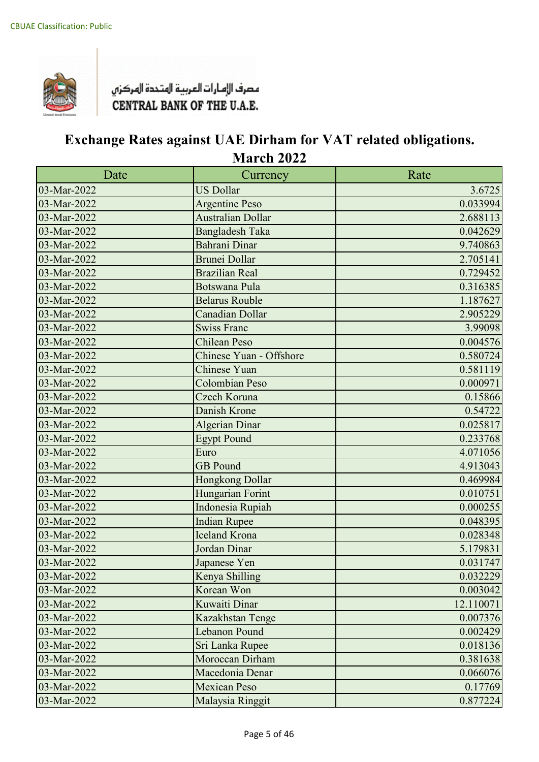

| Date        | Currency                 | Rate      |
|-------------|--------------------------|-----------|
| 03-Mar-2022 | <b>US Dollar</b>         | 3.6725    |
| 03-Mar-2022 | <b>Argentine Peso</b>    | 0.033994  |
| 03-Mar-2022 | <b>Australian Dollar</b> | 2.688113  |
| 03-Mar-2022 | <b>Bangladesh Taka</b>   | 0.042629  |
| 03-Mar-2022 | <b>Bahrani Dinar</b>     | 9.740863  |
| 03-Mar-2022 | <b>Brunei Dollar</b>     | 2.705141  |
| 03-Mar-2022 | <b>Brazilian Real</b>    | 0.729452  |
| 03-Mar-2022 | <b>Botswana Pula</b>     | 0.316385  |
| 03-Mar-2022 | <b>Belarus Rouble</b>    | 1.187627  |
| 03-Mar-2022 | <b>Canadian Dollar</b>   | 2.905229  |
| 03-Mar-2022 | <b>Swiss Franc</b>       | 3.99098   |
| 03-Mar-2022 | <b>Chilean Peso</b>      | 0.004576  |
| 03-Mar-2022 | Chinese Yuan - Offshore  | 0.580724  |
| 03-Mar-2022 | Chinese Yuan             | 0.581119  |
| 03-Mar-2022 | Colombian Peso           | 0.000971  |
| 03-Mar-2022 | Czech Koruna             | 0.15866   |
| 03-Mar-2022 | Danish Krone             | 0.54722   |
| 03-Mar-2022 | <b>Algerian Dinar</b>    | 0.025817  |
| 03-Mar-2022 | <b>Egypt Pound</b>       | 0.233768  |
| 03-Mar-2022 | Euro                     | 4.071056  |
| 03-Mar-2022 | <b>GB</b> Pound          | 4.913043  |
| 03-Mar-2022 | Hongkong Dollar          | 0.469984  |
| 03-Mar-2022 | Hungarian Forint         | 0.010751  |
| 03-Mar-2022 | Indonesia Rupiah         | 0.000255  |
| 03-Mar-2022 | <b>Indian Rupee</b>      | 0.048395  |
| 03-Mar-2022 | <b>Iceland Krona</b>     | 0.028348  |
| 03-Mar-2022 | Jordan Dinar             | 5.179831  |
| 03-Mar-2022 | Japanese Yen             | 0.031747  |
| 03-Mar-2022 | Kenya Shilling           | 0.032229  |
| 03-Mar-2022 | Korean Won               | 0.003042  |
| 03-Mar-2022 | Kuwaiti Dinar            | 12.110071 |
| 03-Mar-2022 | Kazakhstan Tenge         | 0.007376  |
| 03-Mar-2022 | <b>Lebanon Pound</b>     | 0.002429  |
| 03-Mar-2022 | Sri Lanka Rupee          | 0.018136  |
| 03-Mar-2022 | Moroccan Dirham          | 0.381638  |
| 03-Mar-2022 | Macedonia Denar          | 0.066076  |
| 03-Mar-2022 | <b>Mexican Peso</b>      | 0.17769   |
| 03-Mar-2022 | Malaysia Ringgit         | 0.877224  |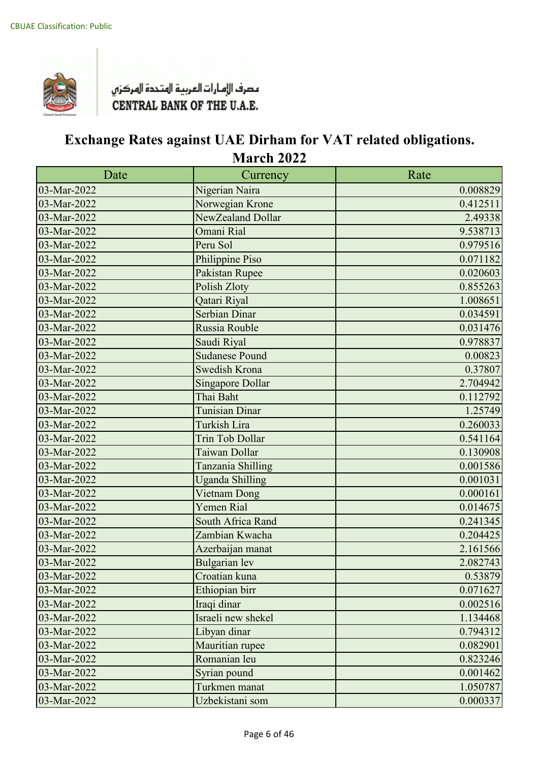

| Date        | Currency                | Rate     |
|-------------|-------------------------|----------|
| 03-Mar-2022 | Nigerian Naira          | 0.008829 |
| 03-Mar-2022 | Norwegian Krone         | 0.412511 |
| 03-Mar-2022 | NewZealand Dollar       | 2.49338  |
| 03-Mar-2022 | Omani Rial              | 9.538713 |
| 03-Mar-2022 | Peru Sol                | 0.979516 |
| 03-Mar-2022 | Philippine Piso         | 0.071182 |
| 03-Mar-2022 | Pakistan Rupee          | 0.020603 |
| 03-Mar-2022 | Polish Zloty            | 0.855263 |
| 03-Mar-2022 | Qatari Riyal            | 1.008651 |
| 03-Mar-2022 | <b>Serbian Dinar</b>    | 0.034591 |
| 03-Mar-2022 | Russia Rouble           | 0.031476 |
| 03-Mar-2022 | Saudi Riyal             | 0.978837 |
| 03-Mar-2022 | <b>Sudanese Pound</b>   | 0.00823  |
| 03-Mar-2022 | <b>Swedish Krona</b>    | 0.37807  |
| 03-Mar-2022 | <b>Singapore Dollar</b> | 2.704942 |
| 03-Mar-2022 | Thai Baht               | 0.112792 |
| 03-Mar-2022 | <b>Tunisian Dinar</b>   | 1.25749  |
| 03-Mar-2022 | <b>Turkish Lira</b>     | 0.260033 |
| 03-Mar-2022 | <b>Trin Tob Dollar</b>  | 0.541164 |
| 03-Mar-2022 | Taiwan Dollar           | 0.130908 |
| 03-Mar-2022 | Tanzania Shilling       | 0.001586 |
| 03-Mar-2022 | <b>Uganda Shilling</b>  | 0.001031 |
| 03-Mar-2022 | Vietnam Dong            | 0.000161 |
| 03-Mar-2022 | <b>Yemen Rial</b>       | 0.014675 |
| 03-Mar-2022 | South Africa Rand       | 0.241345 |
| 03-Mar-2022 | Zambian Kwacha          | 0.204425 |
| 03-Mar-2022 | Azerbaijan manat        | 2.161566 |
| 03-Mar-2022 | <b>Bulgarian</b> lev    | 2.082743 |
| 03-Mar-2022 | Croatian kuna           | 0.53879  |
| 03-Mar-2022 | Ethiopian birr          | 0.071627 |
| 03-Mar-2022 | Iraqi dinar             | 0.002516 |
| 03-Mar-2022 | Israeli new shekel      | 1.134468 |
| 03-Mar-2022 | Libyan dinar            | 0.794312 |
| 03-Mar-2022 | Mauritian rupee         | 0.082901 |
| 03-Mar-2022 | Romanian leu            | 0.823246 |
| 03-Mar-2022 | Syrian pound            | 0.001462 |
| 03-Mar-2022 | Turkmen manat           | 1.050787 |
| 03-Mar-2022 | Uzbekistani som         | 0.000337 |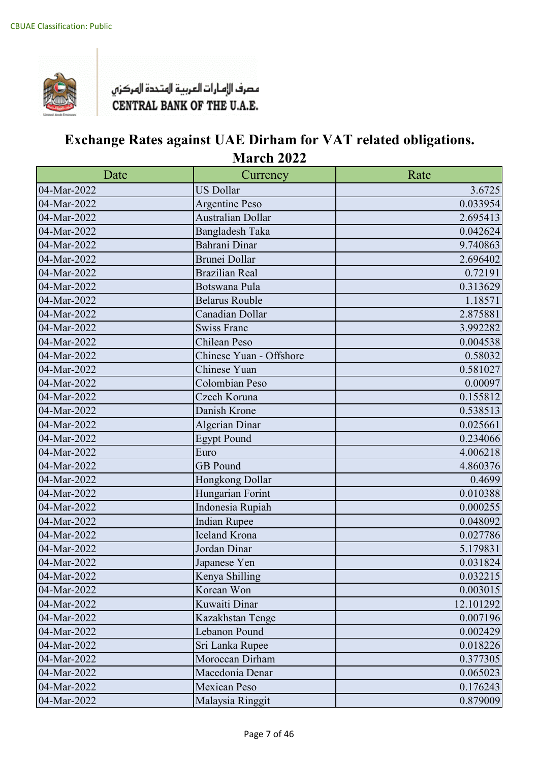

| Date        | Currency                | Rate      |
|-------------|-------------------------|-----------|
| 04-Mar-2022 | <b>US Dollar</b>        | 3.6725    |
| 04-Mar-2022 | <b>Argentine Peso</b>   | 0.033954  |
| 04-Mar-2022 | Australian Dollar       | 2.695413  |
| 04-Mar-2022 | <b>Bangladesh Taka</b>  | 0.042624  |
| 04-Mar-2022 | Bahrani Dinar           | 9.740863  |
| 04-Mar-2022 | <b>Brunei Dollar</b>    | 2.696402  |
| 04-Mar-2022 | <b>Brazilian Real</b>   | 0.72191   |
| 04-Mar-2022 | Botswana Pula           | 0.313629  |
| 04-Mar-2022 | <b>Belarus Rouble</b>   | 1.18571   |
| 04-Mar-2022 | Canadian Dollar         | 2.875881  |
| 04-Mar-2022 | <b>Swiss Franc</b>      | 3.992282  |
| 04-Mar-2022 | Chilean Peso            | 0.004538  |
| 04-Mar-2022 | Chinese Yuan - Offshore | 0.58032   |
| 04-Mar-2022 | Chinese Yuan            | 0.581027  |
| 04-Mar-2022 | Colombian Peso          | 0.00097   |
| 04-Mar-2022 | Czech Koruna            | 0.155812  |
| 04-Mar-2022 | Danish Krone            | 0.538513  |
| 04-Mar-2022 | <b>Algerian Dinar</b>   | 0.025661  |
| 04-Mar-2022 | <b>Egypt Pound</b>      | 0.234066  |
| 04-Mar-2022 | Euro                    | 4.006218  |
| 04-Mar-2022 | <b>GB</b> Pound         | 4.860376  |
| 04-Mar-2022 | Hongkong Dollar         | 0.4699    |
| 04-Mar-2022 | Hungarian Forint        | 0.010388  |
| 04-Mar-2022 | Indonesia Rupiah        | 0.000255  |
| 04-Mar-2022 | <b>Indian Rupee</b>     | 0.048092  |
| 04-Mar-2022 | <b>Iceland Krona</b>    | 0.027786  |
| 04-Mar-2022 | Jordan Dinar            | 5.179831  |
| 04-Mar-2022 | Japanese Yen            | 0.031824  |
| 04-Mar-2022 | Kenya Shilling          | 0.032215  |
| 04-Mar-2022 | Korean Won              | 0.003015  |
| 04-Mar-2022 | Kuwaiti Dinar           | 12.101292 |
| 04-Mar-2022 | Kazakhstan Tenge        | 0.007196  |
| 04-Mar-2022 | Lebanon Pound           | 0.002429  |
| 04-Mar-2022 | Sri Lanka Rupee         | 0.018226  |
| 04-Mar-2022 | Moroccan Dirham         | 0.377305  |
| 04-Mar-2022 | Macedonia Denar         | 0.065023  |
| 04-Mar-2022 | <b>Mexican Peso</b>     | 0.176243  |
| 04-Mar-2022 | Malaysia Ringgit        | 0.879009  |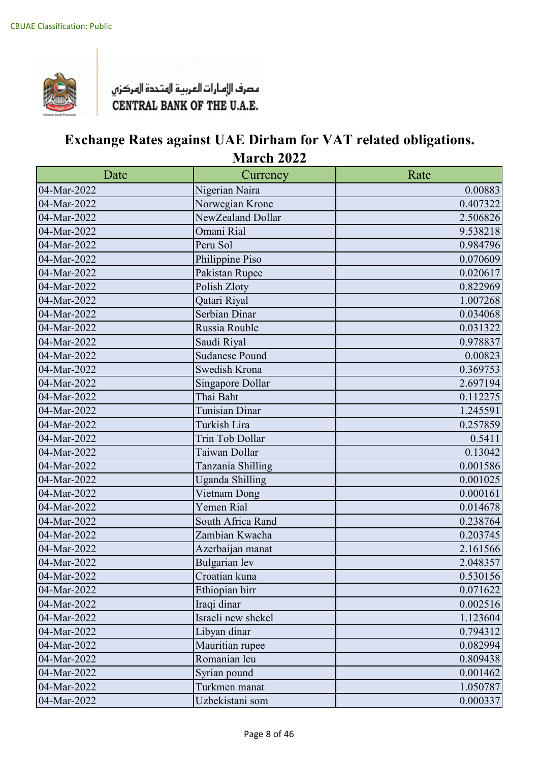

| Date        | Currency               | Rate     |
|-------------|------------------------|----------|
| 04-Mar-2022 | Nigerian Naira         | 0.00883  |
| 04-Mar-2022 | Norwegian Krone        | 0.407322 |
| 04-Mar-2022 | NewZealand Dollar      | 2.506826 |
| 04-Mar-2022 | Omani Rial             | 9.538218 |
| 04-Mar-2022 | Peru Sol               | 0.984796 |
| 04-Mar-2022 | Philippine Piso        | 0.070609 |
| 04-Mar-2022 | Pakistan Rupee         | 0.020617 |
| 04-Mar-2022 | Polish Zloty           | 0.822969 |
| 04-Mar-2022 | Qatari Riyal           | 1.007268 |
| 04-Mar-2022 | Serbian Dinar          | 0.034068 |
| 04-Mar-2022 | Russia Rouble          | 0.031322 |
| 04-Mar-2022 | Saudi Riyal            | 0.978837 |
| 04-Mar-2022 | <b>Sudanese Pound</b>  | 0.00823  |
| 04-Mar-2022 | Swedish Krona          | 0.369753 |
| 04-Mar-2022 | Singapore Dollar       | 2.697194 |
| 04-Mar-2022 | Thai Baht              | 0.112275 |
| 04-Mar-2022 | <b>Tunisian Dinar</b>  | 1.245591 |
| 04-Mar-2022 | Turkish Lira           | 0.257859 |
| 04-Mar-2022 | Trin Tob Dollar        | 0.5411   |
| 04-Mar-2022 | Taiwan Dollar          | 0.13042  |
| 04-Mar-2022 | Tanzania Shilling      | 0.001586 |
| 04-Mar-2022 | <b>Uganda Shilling</b> | 0.001025 |
| 04-Mar-2022 | Vietnam Dong           | 0.000161 |
| 04-Mar-2022 | Yemen Rial             | 0.014678 |
| 04-Mar-2022 | South Africa Rand      | 0.238764 |
| 04-Mar-2022 | Zambian Kwacha         | 0.203745 |
| 04-Mar-2022 | Azerbaijan manat       | 2.161566 |
| 04-Mar-2022 | Bulgarian lev          | 2.048357 |
| 04-Mar-2022 | Croatian kuna          | 0.530156 |
| 04-Mar-2022 | Ethiopian birr         | 0.071622 |
| 04-Mar-2022 | Iraqi dinar            | 0.002516 |
| 04-Mar-2022 | Israeli new shekel     | 1.123604 |
| 04-Mar-2022 | Libyan dinar           | 0.794312 |
| 04-Mar-2022 | Mauritian rupee        | 0.082994 |
| 04-Mar-2022 | Romanian leu           | 0.809438 |
| 04-Mar-2022 | Syrian pound           | 0.001462 |
| 04-Mar-2022 | Turkmen manat          | 1.050787 |
| 04-Mar-2022 | Uzbekistani som        | 0.000337 |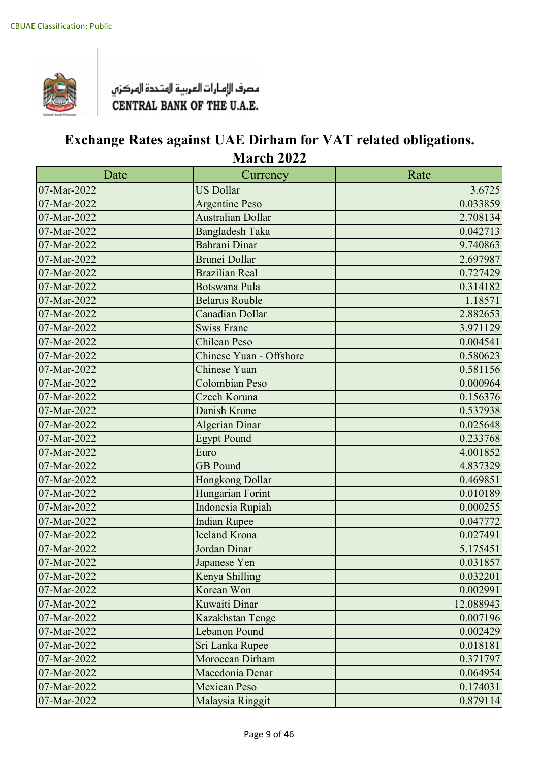

| Date                      | Currency                 | Rate      |
|---------------------------|--------------------------|-----------|
| 07-Mar-2022               | <b>US Dollar</b>         | 3.6725    |
| 07-Mar-2022               | <b>Argentine Peso</b>    | 0.033859  |
| 07-Mar-2022               | <b>Australian Dollar</b> | 2.708134  |
| 07-Mar-2022               | <b>Bangladesh Taka</b>   | 0.042713  |
| 07-Mar-2022               | Bahrani Dinar            | 9.740863  |
| 07-Mar-2022               | Brunei Dollar            | 2.697987  |
| 07-Mar-2022               | <b>Brazilian Real</b>    | 0.727429  |
| 07-Mar-2022               | <b>Botswana Pula</b>     | 0.314182  |
| 07-Mar-2022               | <b>Belarus Rouble</b>    | 1.18571   |
| 07-Mar-2022               | Canadian Dollar          | 2.882653  |
| 07-Mar-2022               | <b>Swiss Franc</b>       | 3.971129  |
| 07-Mar-2022               | <b>Chilean Peso</b>      | 0.004541  |
| 07-Mar-2022               | Chinese Yuan - Offshore  | 0.580623  |
| 07-Mar-2022               | <b>Chinese Yuan</b>      | 0.581156  |
| 07-Mar-2022               | <b>Colombian Peso</b>    | 0.000964  |
| $\overline{07}$ -Mar-2022 | Czech Koruna             | 0.156376  |
| 07-Mar-2022               | Danish Krone             | 0.537938  |
| 07-Mar-2022               | <b>Algerian Dinar</b>    | 0.025648  |
| 07-Mar-2022               | <b>Egypt Pound</b>       | 0.233768  |
| 07-Mar-2022               | Euro                     | 4.001852  |
| 07-Mar-2022               | <b>GB</b> Pound          | 4.837329  |
| 07-Mar-2022               | Hongkong Dollar          | 0.469851  |
| 07-Mar-2022               | Hungarian Forint         | 0.010189  |
| 07-Mar-2022               | Indonesia Rupiah         | 0.000255  |
| 07-Mar-2022               | <b>Indian Rupee</b>      | 0.047772  |
| 07-Mar-2022               | <b>Iceland Krona</b>     | 0.027491  |
| 07-Mar-2022               | Jordan Dinar             | 5.175451  |
| 07-Mar-2022               | Japanese Yen             | 0.031857  |
| 07-Mar-2022               | Kenya Shilling           | 0.032201  |
| 07-Mar-2022               | Korean Won               | 0.002991  |
| 07-Mar-2022               | Kuwaiti Dinar            | 12.088943 |
| 07-Mar-2022               | Kazakhstan Tenge         | 0.007196  |
| 07-Mar-2022               | <b>Lebanon Pound</b>     | 0.002429  |
| 07-Mar-2022               | Sri Lanka Rupee          | 0.018181  |
| 07-Mar-2022               | Moroccan Dirham          | 0.371797  |
| 07-Mar-2022               | Macedonia Denar          | 0.064954  |
| 07-Mar-2022               | <b>Mexican Peso</b>      | 0.174031  |
| 07-Mar-2022               | Malaysia Ringgit         | 0.879114  |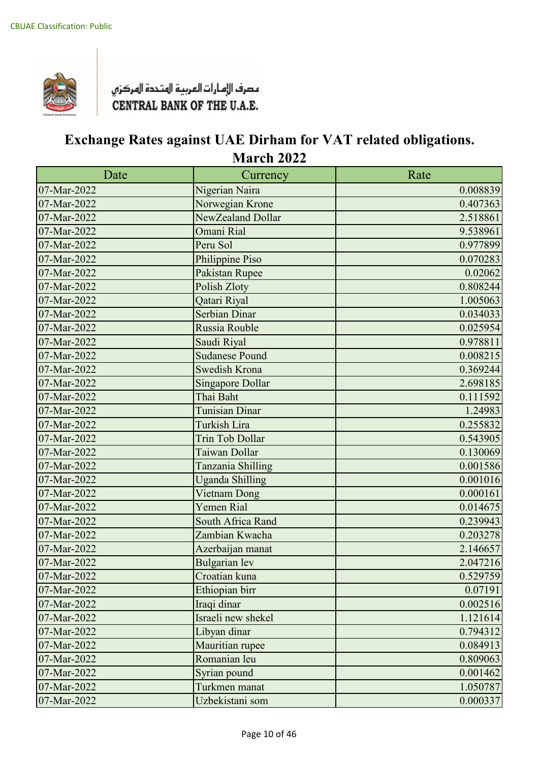

| Date                      | Currency                | Rate     |
|---------------------------|-------------------------|----------|
| 07-Mar-2022               | Nigerian Naira          | 0.008839 |
| 07-Mar-2022               | Norwegian Krone         | 0.407363 |
| 07-Mar-2022               | NewZealand Dollar       | 2.518861 |
| 07-Mar-2022               | Omani Rial              | 9.538961 |
| 07-Mar-2022               | Peru Sol                | 0.977899 |
| 07-Mar-2022               | Philippine Piso         | 0.070283 |
| 07-Mar-2022               | Pakistan Rupee          | 0.02062  |
| 07-Mar-2022               | Polish Zloty            | 0.808244 |
| 07-Mar-2022               | Qatari Riyal            | 1.005063 |
| 07-Mar-2022               | Serbian Dinar           | 0.034033 |
| 07-Mar-2022               | Russia Rouble           | 0.025954 |
| 07-Mar-2022               | Saudi Riyal             | 0.978811 |
| 07-Mar-2022               | <b>Sudanese Pound</b>   | 0.008215 |
| 07-Mar-2022               | Swedish Krona           | 0.369244 |
| 07-Mar-2022               | <b>Singapore Dollar</b> | 2.698185 |
| $\overline{07}$ -Mar-2022 | Thai Baht               | 0.111592 |
| 07-Mar-2022               | <b>Tunisian Dinar</b>   | 1.24983  |
| 07-Mar-2022               | <b>Turkish Lira</b>     | 0.255832 |
| 07-Mar-2022               | <b>Trin Tob Dollar</b>  | 0.543905 |
| 07-Mar-2022               | Taiwan Dollar           | 0.130069 |
| 07-Mar-2022               | Tanzania Shilling       | 0.001586 |
| 07-Mar-2022               | <b>Uganda Shilling</b>  | 0.001016 |
| 07-Mar-2022               | Vietnam Dong            | 0.000161 |
| 07-Mar-2022               | Yemen Rial              | 0.014675 |
| 07-Mar-2022               | South Africa Rand       | 0.239943 |
| 07-Mar-2022               | Zambian Kwacha          | 0.203278 |
| 07-Mar-2022               | Azerbaijan manat        | 2.146657 |
| 07-Mar-2022               | <b>Bulgarian</b> lev    | 2.047216 |
| 07-Mar-2022               | Croatian kuna           | 0.529759 |
| 07-Mar-2022               | Ethiopian birr          | 0.07191  |
| 07-Mar-2022               | Iraqi dinar             | 0.002516 |
| 07-Mar-2022               | Israeli new shekel      | 1.121614 |
| 07-Mar-2022               | Libyan dinar            | 0.794312 |
| 07-Mar-2022               | Mauritian rupee         | 0.084913 |
| 07-Mar-2022               | Romanian leu            | 0.809063 |
| 07-Mar-2022               | Syrian pound            | 0.001462 |
| 07-Mar-2022               | Turkmen manat           | 1.050787 |
| 07-Mar-2022               | Uzbekistani som         | 0.000337 |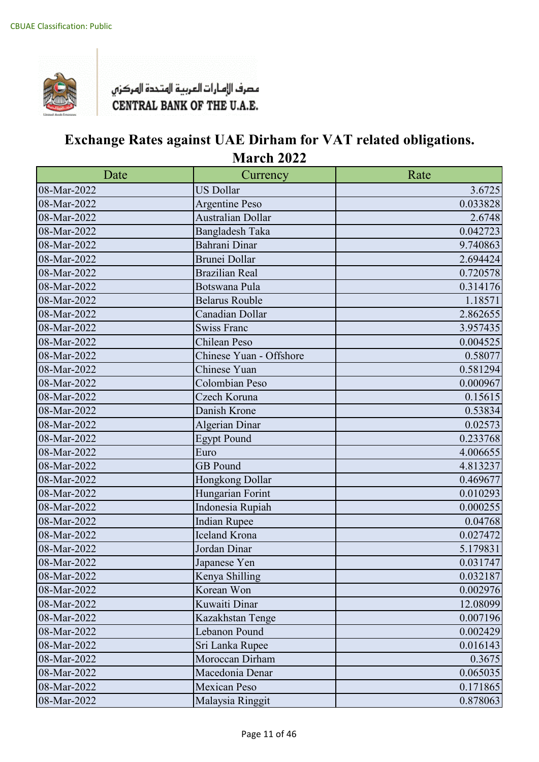

| Date        | Currency                 | Rate     |
|-------------|--------------------------|----------|
| 08-Mar-2022 | <b>US Dollar</b>         | 3.6725   |
| 08-Mar-2022 | <b>Argentine Peso</b>    | 0.033828 |
| 08-Mar-2022 | <b>Australian Dollar</b> | 2.6748   |
| 08-Mar-2022 | <b>Bangladesh Taka</b>   | 0.042723 |
| 08-Mar-2022 | Bahrani Dinar            | 9.740863 |
| 08-Mar-2022 | Brunei Dollar            | 2.694424 |
| 08-Mar-2022 | <b>Brazilian Real</b>    | 0.720578 |
| 08-Mar-2022 | Botswana Pula            | 0.314176 |
| 08-Mar-2022 | <b>Belarus Rouble</b>    | 1.18571  |
| 08-Mar-2022 | Canadian Dollar          | 2.862655 |
| 08-Mar-2022 | <b>Swiss Franc</b>       | 3.957435 |
| 08-Mar-2022 | Chilean Peso             | 0.004525 |
| 08-Mar-2022 | Chinese Yuan - Offshore  | 0.58077  |
| 08-Mar-2022 | Chinese Yuan             | 0.581294 |
| 08-Mar-2022 | Colombian Peso           | 0.000967 |
| 08-Mar-2022 | Czech Koruna             | 0.15615  |
| 08-Mar-2022 | Danish Krone             | 0.53834  |
| 08-Mar-2022 | Algerian Dinar           | 0.02573  |
| 08-Mar-2022 | <b>Egypt Pound</b>       | 0.233768 |
| 08-Mar-2022 | Euro                     | 4.006655 |
| 08-Mar-2022 | <b>GB</b> Pound          | 4.813237 |
| 08-Mar-2022 | Hongkong Dollar          | 0.469677 |
| 08-Mar-2022 | Hungarian Forint         | 0.010293 |
| 08-Mar-2022 | Indonesia Rupiah         | 0.000255 |
| 08-Mar-2022 | <b>Indian Rupee</b>      | 0.04768  |
| 08-Mar-2022 | <b>Iceland Krona</b>     | 0.027472 |
| 08-Mar-2022 | Jordan Dinar             | 5.179831 |
| 08-Mar-2022 | Japanese Yen             | 0.031747 |
| 08-Mar-2022 | Kenya Shilling           | 0.032187 |
| 08-Mar-2022 | Korean Won               | 0.002976 |
| 08-Mar-2022 | Kuwaiti Dinar            | 12.08099 |
| 08-Mar-2022 | Kazakhstan Tenge         | 0.007196 |
| 08-Mar-2022 | Lebanon Pound            | 0.002429 |
| 08-Mar-2022 | Sri Lanka Rupee          | 0.016143 |
| 08-Mar-2022 | Moroccan Dirham          | 0.3675   |
| 08-Mar-2022 | Macedonia Denar          | 0.065035 |
| 08-Mar-2022 | <b>Mexican Peso</b>      | 0.171865 |
| 08-Mar-2022 | Malaysia Ringgit         | 0.878063 |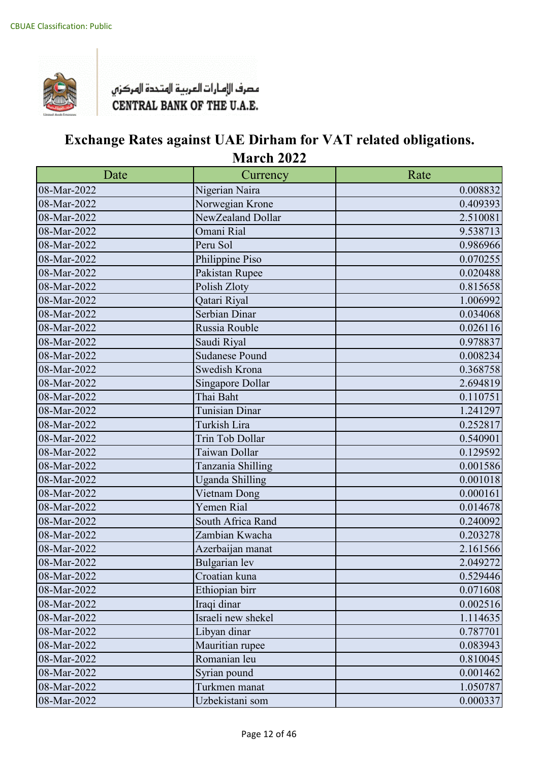

| Date        | Currency               | Rate     |
|-------------|------------------------|----------|
| 08-Mar-2022 | Nigerian Naira         | 0.008832 |
| 08-Mar-2022 | Norwegian Krone        | 0.409393 |
| 08-Mar-2022 | NewZealand Dollar      | 2.510081 |
| 08-Mar-2022 | Omani Rial             | 9.538713 |
| 08-Mar-2022 | Peru Sol               | 0.986966 |
| 08-Mar-2022 | Philippine Piso        | 0.070255 |
| 08-Mar-2022 | Pakistan Rupee         | 0.020488 |
| 08-Mar-2022 | Polish Zloty           | 0.815658 |
| 08-Mar-2022 | Qatari Riyal           | 1.006992 |
| 08-Mar-2022 | Serbian Dinar          | 0.034068 |
| 08-Mar-2022 | Russia Rouble          | 0.026116 |
| 08-Mar-2022 | Saudi Riyal            | 0.978837 |
| 08-Mar-2022 | <b>Sudanese Pound</b>  | 0.008234 |
| 08-Mar-2022 | Swedish Krona          | 0.368758 |
| 08-Mar-2022 | Singapore Dollar       | 2.694819 |
| 08-Mar-2022 | Thai Baht              | 0.110751 |
| 08-Mar-2022 | Tunisian Dinar         | 1.241297 |
| 08-Mar-2022 | Turkish Lira           | 0.252817 |
| 08-Mar-2022 | Trin Tob Dollar        | 0.540901 |
| 08-Mar-2022 | Taiwan Dollar          | 0.129592 |
| 08-Mar-2022 | Tanzania Shilling      | 0.001586 |
| 08-Mar-2022 | <b>Uganda Shilling</b> | 0.001018 |
| 08-Mar-2022 | Vietnam Dong           | 0.000161 |
| 08-Mar-2022 | Yemen Rial             | 0.014678 |
| 08-Mar-2022 | South Africa Rand      | 0.240092 |
| 08-Mar-2022 | Zambian Kwacha         | 0.203278 |
| 08-Mar-2022 | Azerbaijan manat       | 2.161566 |
| 08-Mar-2022 | <b>Bulgarian</b> lev   | 2.049272 |
| 08-Mar-2022 | Croatian kuna          | 0.529446 |
| 08-Mar-2022 | Ethiopian birr         | 0.071608 |
| 08-Mar-2022 | Iraqi dinar            | 0.002516 |
| 08-Mar-2022 | Israeli new shekel     | 1.114635 |
| 08-Mar-2022 | Libyan dinar           | 0.787701 |
| 08-Mar-2022 | Mauritian rupee        | 0.083943 |
| 08-Mar-2022 | Romanian leu           | 0.810045 |
| 08-Mar-2022 | Syrian pound           | 0.001462 |
| 08-Mar-2022 | Turkmen manat          | 1.050787 |
| 08-Mar-2022 | Uzbekistani som        | 0.000337 |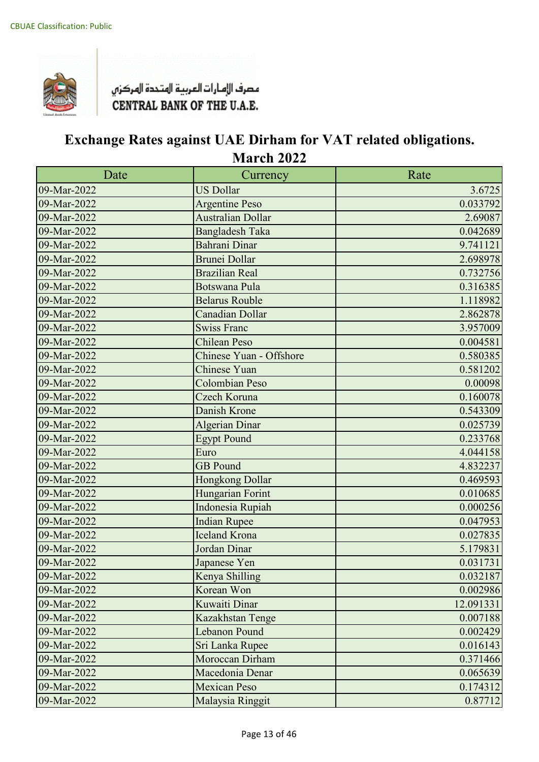

| Date                      | Currency                 | Rate      |
|---------------------------|--------------------------|-----------|
| 09-Mar-2022               | <b>US Dollar</b>         | 3.6725    |
| 09-Mar-2022               | <b>Argentine Peso</b>    | 0.033792  |
| 09-Mar-2022               | <b>Australian Dollar</b> | 2.69087   |
| 09-Mar-2022               | <b>Bangladesh Taka</b>   | 0.042689  |
| 09-Mar-2022               | Bahrani Dinar            | 9.741121  |
| 09-Mar-2022               | Brunei Dollar            | 2.698978  |
| 09-Mar-2022               | <b>Brazilian Real</b>    | 0.732756  |
| 09-Mar-2022               | <b>Botswana Pula</b>     | 0.316385  |
| 09-Mar-2022               | <b>Belarus Rouble</b>    | 1.118982  |
| 09-Mar-2022               | Canadian Dollar          | 2.862878  |
| 09-Mar-2022               | <b>Swiss Franc</b>       | 3.957009  |
| 09-Mar-2022               | <b>Chilean Peso</b>      | 0.004581  |
| 09-Mar-2022               | Chinese Yuan - Offshore  | 0.580385  |
| 09-Mar-2022               | <b>Chinese Yuan</b>      | 0.581202  |
| 09-Mar-2022               | Colombian Peso           | 0.00098   |
| $\overline{09}$ -Mar-2022 | Czech Koruna             | 0.160078  |
| 09-Mar-2022               | Danish Krone             | 0.543309  |
| 09-Mar-2022               | Algerian Dinar           | 0.025739  |
| 09-Mar-2022               | <b>Egypt Pound</b>       | 0.233768  |
| 09-Mar-2022               | Euro                     | 4.044158  |
| 09-Mar-2022               | <b>GB</b> Pound          | 4.832237  |
| 09-Mar-2022               | Hongkong Dollar          | 0.469593  |
| 09-Mar-2022               | Hungarian Forint         | 0.010685  |
| 09-Mar-2022               | Indonesia Rupiah         | 0.000256  |
| 09-Mar-2022               | <b>Indian Rupee</b>      | 0.047953  |
| 09-Mar-2022               | <b>Iceland Krona</b>     | 0.027835  |
| 09-Mar-2022               | Jordan Dinar             | 5.179831  |
| 09-Mar-2022               | Japanese Yen             | 0.031731  |
| 09-Mar-2022               | Kenya Shilling           | 0.032187  |
| 09-Mar-2022               | Korean Won               | 0.002986  |
| 09-Mar-2022               | <b>Kuwaiti Dinar</b>     | 12.091331 |
| 09-Mar-2022               | Kazakhstan Tenge         | 0.007188  |
| 09-Mar-2022               | Lebanon Pound            | 0.002429  |
| 09-Mar-2022               | Sri Lanka Rupee          | 0.016143  |
| 09-Mar-2022               | Moroccan Dirham          | 0.371466  |
| 09-Mar-2022               | Macedonia Denar          | 0.065639  |
| 09-Mar-2022               | <b>Mexican Peso</b>      | 0.174312  |
| 09-Mar-2022               | Malaysia Ringgit         | 0.87712   |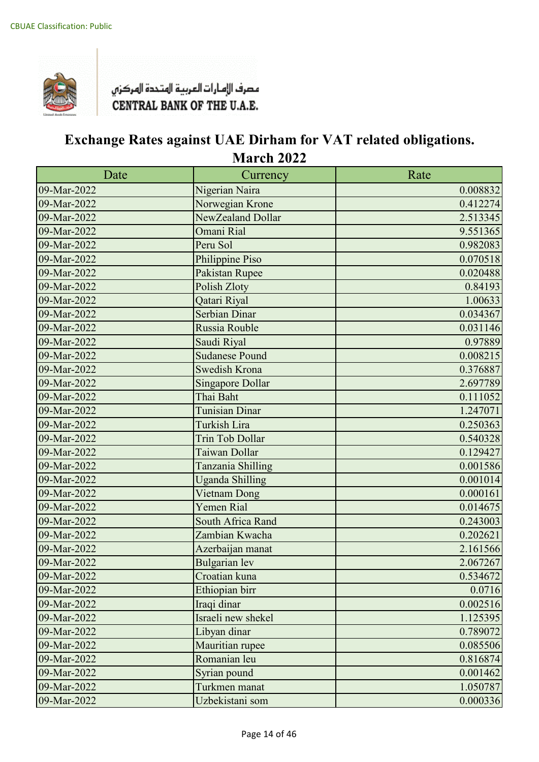

| Date        | Currency                | Rate     |
|-------------|-------------------------|----------|
| 09-Mar-2022 | Nigerian Naira          | 0.008832 |
| 09-Mar-2022 | Norwegian Krone         | 0.412274 |
| 09-Mar-2022 | NewZealand Dollar       | 2.513345 |
| 09-Mar-2022 | Omani Rial              | 9.551365 |
| 09-Mar-2022 | Peru Sol                | 0.982083 |
| 09-Mar-2022 | Philippine Piso         | 0.070518 |
| 09-Mar-2022 | Pakistan Rupee          | 0.020488 |
| 09-Mar-2022 | <b>Polish Zloty</b>     | 0.84193  |
| 09-Mar-2022 | Qatari Riyal            | 1.00633  |
| 09-Mar-2022 | Serbian Dinar           | 0.034367 |
| 09-Mar-2022 | Russia Rouble           | 0.031146 |
| 09-Mar-2022 | Saudi Riyal             | 0.97889  |
| 09-Mar-2022 | <b>Sudanese Pound</b>   | 0.008215 |
| 09-Mar-2022 | Swedish Krona           | 0.376887 |
| 09-Mar-2022 | <b>Singapore Dollar</b> | 2.697789 |
| 09-Mar-2022 | Thai Baht               | 0.111052 |
| 09-Mar-2022 | <b>Tunisian Dinar</b>   | 1.247071 |
| 09-Mar-2022 | <b>Turkish Lira</b>     | 0.250363 |
| 09-Mar-2022 | <b>Trin Tob Dollar</b>  | 0.540328 |
| 09-Mar-2022 | Taiwan Dollar           | 0.129427 |
| 09-Mar-2022 | Tanzania Shilling       | 0.001586 |
| 09-Mar-2022 | <b>Uganda Shilling</b>  | 0.001014 |
| 09-Mar-2022 | Vietnam Dong            | 0.000161 |
| 09-Mar-2022 | Yemen Rial              | 0.014675 |
| 09-Mar-2022 | South Africa Rand       | 0.243003 |
| 09-Mar-2022 | Zambian Kwacha          | 0.202621 |
| 09-Mar-2022 | Azerbaijan manat        | 2.161566 |
| 09-Mar-2022 | <b>Bulgarian</b> lev    | 2.067267 |
| 09-Mar-2022 | Croatian kuna           | 0.534672 |
| 09-Mar-2022 | Ethiopian birr          | 0.0716   |
| 09-Mar-2022 | Iraqi dinar             | 0.002516 |
| 09-Mar-2022 | Israeli new shekel      | 1.125395 |
| 09-Mar-2022 | Libyan dinar            | 0.789072 |
| 09-Mar-2022 | Mauritian rupee         | 0.085506 |
| 09-Mar-2022 | Romanian leu            | 0.816874 |
| 09-Mar-2022 | Syrian pound            | 0.001462 |
| 09-Mar-2022 | Turkmen manat           | 1.050787 |
| 09-Mar-2022 | Uzbekistani som         | 0.000336 |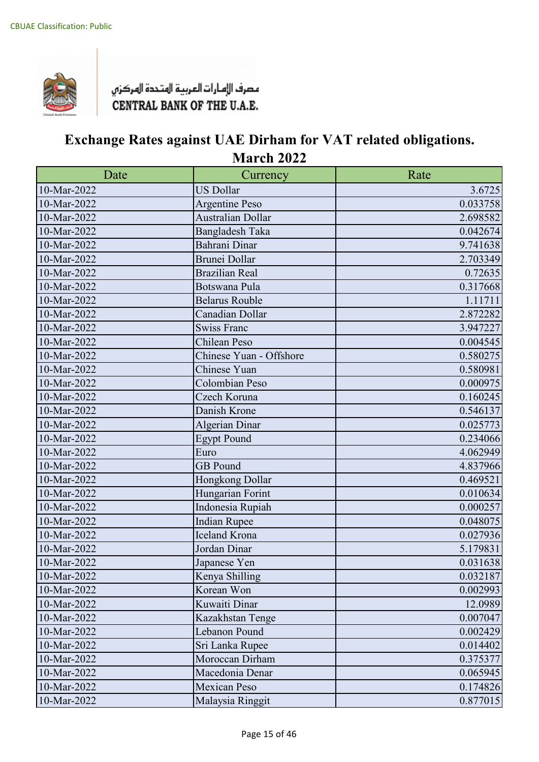

| Date           | Currency                | Rate     |
|----------------|-------------------------|----------|
| 10-Mar-2022    | <b>US Dollar</b>        | 3.6725   |
| 10-Mar-2022    | <b>Argentine Peso</b>   | 0.033758 |
| 10-Mar-2022    | Australian Dollar       | 2.698582 |
| 10-Mar-2022    | <b>Bangladesh Taka</b>  | 0.042674 |
| 10-Mar-2022    | Bahrani Dinar           | 9.741638 |
| 10-Mar-2022    | Brunei Dollar           | 2.703349 |
| 10-Mar-2022    | <b>Brazilian Real</b>   | 0.72635  |
| 10-Mar-2022    | Botswana Pula           | 0.317668 |
| 10-Mar-2022    | <b>Belarus Rouble</b>   | 1.11711  |
| 10-Mar-2022    | Canadian Dollar         | 2.872282 |
| 10-Mar-2022    | <b>Swiss Franc</b>      | 3.947227 |
| 10-Mar-2022    | Chilean Peso            | 0.004545 |
| 10-Mar-2022    | Chinese Yuan - Offshore | 0.580275 |
| 10-Mar-2022    | Chinese Yuan            | 0.580981 |
| 10-Mar-2022    | Colombian Peso          | 0.000975 |
| $10$ -Mar-2022 | Czech Koruna            | 0.160245 |
| 10-Mar-2022    | Danish Krone            | 0.546137 |
| 10-Mar-2022    | Algerian Dinar          | 0.025773 |
| $10$ -Mar-2022 | <b>Egypt Pound</b>      | 0.234066 |
| 10-Mar-2022    | Euro                    | 4.062949 |
| 10-Mar-2022    | <b>GB</b> Pound         | 4.837966 |
| 10-Mar-2022    | Hongkong Dollar         | 0.469521 |
| 10-Mar-2022    | Hungarian Forint        | 0.010634 |
| 10-Mar-2022    | Indonesia Rupiah        | 0.000257 |
| 10-Mar-2022    | <b>Indian Rupee</b>     | 0.048075 |
| 10-Mar-2022    | <b>Iceland Krona</b>    | 0.027936 |
| 10-Mar-2022    | Jordan Dinar            | 5.179831 |
| 10-Mar-2022    | Japanese Yen            | 0.031638 |
| 10-Mar-2022    | Kenya Shilling          | 0.032187 |
| 10-Mar-2022    | Korean Won              | 0.002993 |
| 10-Mar-2022    | Kuwaiti Dinar           | 12.0989  |
| 10-Mar-2022    | Kazakhstan Tenge        | 0.007047 |
| 10-Mar-2022    | Lebanon Pound           | 0.002429 |
| 10-Mar-2022    | Sri Lanka Rupee         | 0.014402 |
| 10-Mar-2022    | Moroccan Dirham         | 0.375377 |
| 10-Mar-2022    | Macedonia Denar         | 0.065945 |
| 10-Mar-2022    | <b>Mexican Peso</b>     | 0.174826 |
| 10-Mar-2022    | Malaysia Ringgit        | 0.877015 |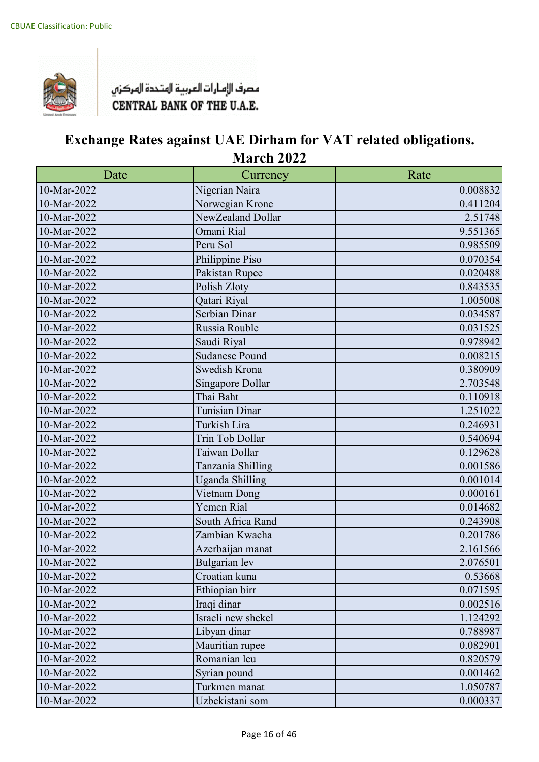

| Date        | Currency               | Rate     |
|-------------|------------------------|----------|
| 10-Mar-2022 | Nigerian Naira         | 0.008832 |
| 10-Mar-2022 | Norwegian Krone        | 0.411204 |
| 10-Mar-2022 | NewZealand Dollar      | 2.51748  |
| 10-Mar-2022 | Omani Rial             | 9.551365 |
| 10-Mar-2022 | Peru Sol               | 0.985509 |
| 10-Mar-2022 | Philippine Piso        | 0.070354 |
| 10-Mar-2022 | Pakistan Rupee         | 0.020488 |
| 10-Mar-2022 | Polish Zloty           | 0.843535 |
| 10-Mar-2022 | Qatari Riyal           | 1.005008 |
| 10-Mar-2022 | Serbian Dinar          | 0.034587 |
| 10-Mar-2022 | Russia Rouble          | 0.031525 |
| 10-Mar-2022 | Saudi Riyal            | 0.978942 |
| 10-Mar-2022 | <b>Sudanese Pound</b>  | 0.008215 |
| 10-Mar-2022 | Swedish Krona          | 0.380909 |
| 10-Mar-2022 | Singapore Dollar       | 2.703548 |
| 10-Mar-2022 | Thai Baht              | 0.110918 |
| 10-Mar-2022 | <b>Tunisian Dinar</b>  | 1.251022 |
| 10-Mar-2022 | Turkish Lira           | 0.246931 |
| 10-Mar-2022 | Trin Tob Dollar        | 0.540694 |
| 10-Mar-2022 | Taiwan Dollar          | 0.129628 |
| 10-Mar-2022 | Tanzania Shilling      | 0.001586 |
| 10-Mar-2022 | <b>Uganda Shilling</b> | 0.001014 |
| 10-Mar-2022 | Vietnam Dong           | 0.000161 |
| 10-Mar-2022 | Yemen Rial             | 0.014682 |
| 10-Mar-2022 | South Africa Rand      | 0.243908 |
| 10-Mar-2022 | Zambian Kwacha         | 0.201786 |
| 10-Mar-2022 | Azerbaijan manat       | 2.161566 |
| 10-Mar-2022 | Bulgarian lev          | 2.076501 |
| 10-Mar-2022 | Croatian kuna          | 0.53668  |
| 10-Mar-2022 | Ethiopian birr         | 0.071595 |
| 10-Mar-2022 | Iraqi dinar            | 0.002516 |
| 10-Mar-2022 | Israeli new shekel     | 1.124292 |
| 10-Mar-2022 | Libyan dinar           | 0.788987 |
| 10-Mar-2022 | Mauritian rupee        | 0.082901 |
| 10-Mar-2022 | Romanian leu           | 0.820579 |
| 10-Mar-2022 | Syrian pound           | 0.001462 |
| 10-Mar-2022 | Turkmen manat          | 1.050787 |
| 10-Mar-2022 | Uzbekistani som        | 0.000337 |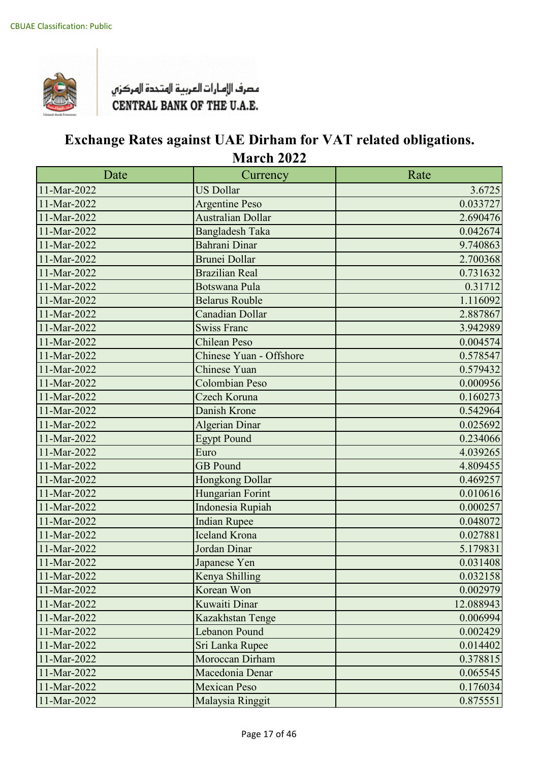

| Date        | Currency                | Rate      |
|-------------|-------------------------|-----------|
| 11-Mar-2022 | <b>US Dollar</b>        | 3.6725    |
| 11-Mar-2022 | <b>Argentine Peso</b>   | 0.033727  |
| 11-Mar-2022 | Australian Dollar       | 2.690476  |
| 11-Mar-2022 | <b>Bangladesh Taka</b>  | 0.042674  |
| 11-Mar-2022 | Bahrani Dinar           | 9.740863  |
| 11-Mar-2022 | <b>Brunei Dollar</b>    | 2.700368  |
| 11-Mar-2022 | <b>Brazilian Real</b>   | 0.731632  |
| 11-Mar-2022 | <b>Botswana Pula</b>    | 0.31712   |
| 11-Mar-2022 | <b>Belarus Rouble</b>   | 1.116092  |
| 11-Mar-2022 | <b>Canadian Dollar</b>  | 2.887867  |
| 11-Mar-2022 | <b>Swiss Franc</b>      | 3.942989  |
| 11-Mar-2022 | <b>Chilean Peso</b>     | 0.004574  |
| 11-Mar-2022 | Chinese Yuan - Offshore | 0.578547  |
| 11-Mar-2022 | <b>Chinese Yuan</b>     | 0.579432  |
| 11-Mar-2022 | <b>Colombian Peso</b>   | 0.000956  |
| 11-Mar-2022 | Czech Koruna            | 0.160273  |
| 11-Mar-2022 | Danish Krone            | 0.542964  |
| 11-Mar-2022 | <b>Algerian Dinar</b>   | 0.025692  |
| 11-Mar-2022 | <b>Egypt Pound</b>      | 0.234066  |
| 11-Mar-2022 | Euro                    | 4.039265  |
| 11-Mar-2022 | <b>GB</b> Pound         | 4.809455  |
| 11-Mar-2022 | Hongkong Dollar         | 0.469257  |
| 11-Mar-2022 | Hungarian Forint        | 0.010616  |
| 11-Mar-2022 | Indonesia Rupiah        | 0.000257  |
| 11-Mar-2022 | <b>Indian Rupee</b>     | 0.048072  |
| 11-Mar-2022 | <b>Iceland Krona</b>    | 0.027881  |
| 11-Mar-2022 | Jordan Dinar            | 5.179831  |
| 11-Mar-2022 | Japanese Yen            | 0.031408  |
| 11-Mar-2022 | Kenya Shilling          | 0.032158  |
| 11-Mar-2022 | Korean Won              | 0.002979  |
| 11-Mar-2022 | Kuwaiti Dinar           | 12.088943 |
| 11-Mar-2022 | Kazakhstan Tenge        | 0.006994  |
| 11-Mar-2022 | Lebanon Pound           | 0.002429  |
| 11-Mar-2022 | Sri Lanka Rupee         | 0.014402  |
| 11-Mar-2022 | Moroccan Dirham         | 0.378815  |
| 11-Mar-2022 | Macedonia Denar         | 0.065545  |
| 11-Mar-2022 | <b>Mexican Peso</b>     | 0.176034  |
| 11-Mar-2022 | Malaysia Ringgit        | 0.875551  |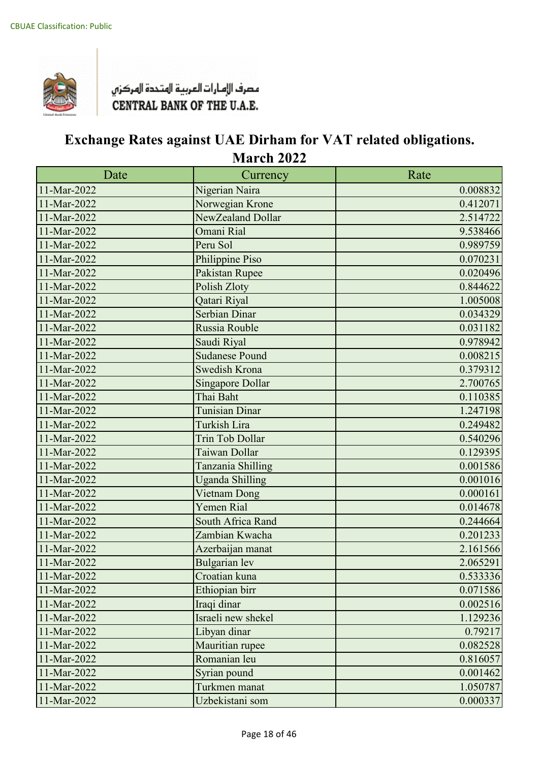

| Date        | Currency                | Rate     |
|-------------|-------------------------|----------|
| 11-Mar-2022 | Nigerian Naira          | 0.008832 |
| 11-Mar-2022 | Norwegian Krone         | 0.412071 |
| 11-Mar-2022 | NewZealand Dollar       | 2.514722 |
| 11-Mar-2022 | Omani Rial              | 9.538466 |
| 11-Mar-2022 | Peru Sol                | 0.989759 |
| 11-Mar-2022 | Philippine Piso         | 0.070231 |
| 11-Mar-2022 | Pakistan Rupee          | 0.020496 |
| 11-Mar-2022 | Polish Zloty            | 0.844622 |
| 11-Mar-2022 | Qatari Riyal            | 1.005008 |
| 11-Mar-2022 | <b>Serbian Dinar</b>    | 0.034329 |
| 11-Mar-2022 | Russia Rouble           | 0.031182 |
| 11-Mar-2022 | Saudi Riyal             | 0.978942 |
| 11-Mar-2022 | <b>Sudanese Pound</b>   | 0.008215 |
| 11-Mar-2022 | Swedish Krona           | 0.379312 |
| 11-Mar-2022 | <b>Singapore Dollar</b> | 2.700765 |
| 11-Mar-2022 | Thai Baht               | 0.110385 |
| 11-Mar-2022 | <b>Tunisian Dinar</b>   | 1.247198 |
| 11-Mar-2022 | Turkish Lira            | 0.249482 |
| 11-Mar-2022 | <b>Trin Tob Dollar</b>  | 0.540296 |
| 11-Mar-2022 | Taiwan Dollar           | 0.129395 |
| 11-Mar-2022 | Tanzania Shilling       | 0.001586 |
| 11-Mar-2022 | <b>Uganda Shilling</b>  | 0.001016 |
| 11-Mar-2022 | Vietnam Dong            | 0.000161 |
| 11-Mar-2022 | Yemen Rial              | 0.014678 |
| 11-Mar-2022 | South Africa Rand       | 0.244664 |
| 11-Mar-2022 | Zambian Kwacha          | 0.201233 |
| 11-Mar-2022 | Azerbaijan manat        | 2.161566 |
| 11-Mar-2022 | <b>Bulgarian</b> lev    | 2.065291 |
| 11-Mar-2022 | Croatian kuna           | 0.533336 |
| 11-Mar-2022 | Ethiopian birr          | 0.071586 |
| 11-Mar-2022 | Iraqi dinar             | 0.002516 |
| 11-Mar-2022 | Israeli new shekel      | 1.129236 |
| 11-Mar-2022 | Libyan dinar            | 0.79217  |
| 11-Mar-2022 | Mauritian rupee         | 0.082528 |
| 11-Mar-2022 | Romanian leu            | 0.816057 |
| 11-Mar-2022 | Syrian pound            | 0.001462 |
| 11-Mar-2022 | Turkmen manat           | 1.050787 |
| 11-Mar-2022 | Uzbekistani som         | 0.000337 |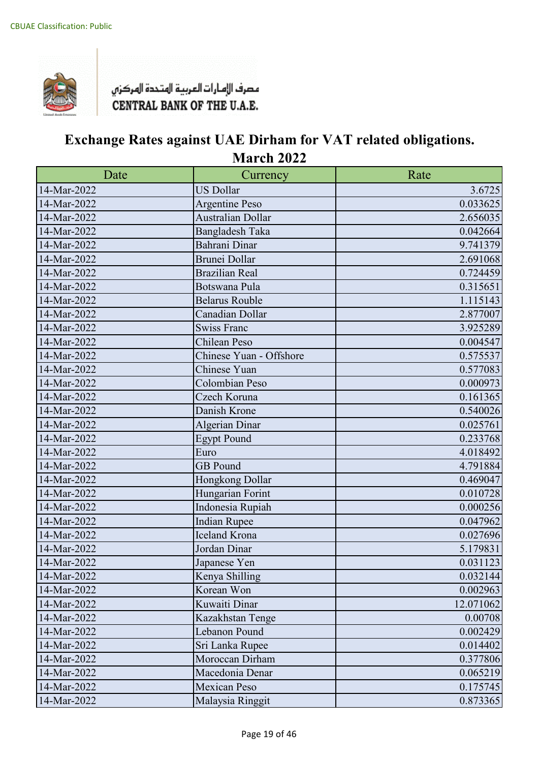

| Date        | Currency                | Rate      |
|-------------|-------------------------|-----------|
| 14-Mar-2022 | <b>US Dollar</b>        | 3.6725    |
| 14-Mar-2022 | <b>Argentine Peso</b>   | 0.033625  |
| 14-Mar-2022 | Australian Dollar       | 2.656035  |
| 14-Mar-2022 | <b>Bangladesh Taka</b>  | 0.042664  |
| 14-Mar-2022 | Bahrani Dinar           | 9.741379  |
| 14-Mar-2022 | <b>Brunei Dollar</b>    | 2.691068  |
| 14-Mar-2022 | <b>Brazilian Real</b>   | 0.724459  |
| 14-Mar-2022 | Botswana Pula           | 0.315651  |
| 14-Mar-2022 | <b>Belarus Rouble</b>   | 1.115143  |
| 14-Mar-2022 | Canadian Dollar         | 2.877007  |
| 14-Mar-2022 | <b>Swiss Franc</b>      | 3.925289  |
| 14-Mar-2022 | Chilean Peso            | 0.004547  |
| 14-Mar-2022 | Chinese Yuan - Offshore | 0.575537  |
| 14-Mar-2022 | Chinese Yuan            | 0.577083  |
| 14-Mar-2022 | Colombian Peso          | 0.000973  |
| 14-Mar-2022 | Czech Koruna            | 0.161365  |
| 14-Mar-2022 | Danish Krone            | 0.540026  |
| 14-Mar-2022 | <b>Algerian Dinar</b>   | 0.025761  |
| 14-Mar-2022 | <b>Egypt Pound</b>      | 0.233768  |
| 14-Mar-2022 | Euro                    | 4.018492  |
| 14-Mar-2022 | <b>GB</b> Pound         | 4.791884  |
| 14-Mar-2022 | Hongkong Dollar         | 0.469047  |
| 14-Mar-2022 | Hungarian Forint        | 0.010728  |
| 14-Mar-2022 | Indonesia Rupiah        | 0.000256  |
| 14-Mar-2022 | <b>Indian Rupee</b>     | 0.047962  |
| 14-Mar-2022 | <b>Iceland Krona</b>    | 0.027696  |
| 14-Mar-2022 | Jordan Dinar            | 5.179831  |
| 14-Mar-2022 | Japanese Yen            | 0.031123  |
| 14-Mar-2022 | Kenya Shilling          | 0.032144  |
| 14-Mar-2022 | Korean Won              | 0.002963  |
| 14-Mar-2022 | Kuwaiti Dinar           | 12.071062 |
| 14-Mar-2022 | Kazakhstan Tenge        | 0.00708   |
| 14-Mar-2022 | Lebanon Pound           | 0.002429  |
| 14-Mar-2022 | Sri Lanka Rupee         | 0.014402  |
| 14-Mar-2022 | Moroccan Dirham         | 0.377806  |
| 14-Mar-2022 | Macedonia Denar         | 0.065219  |
| 14-Mar-2022 | <b>Mexican Peso</b>     | 0.175745  |
| 14-Mar-2022 | Malaysia Ringgit        | 0.873365  |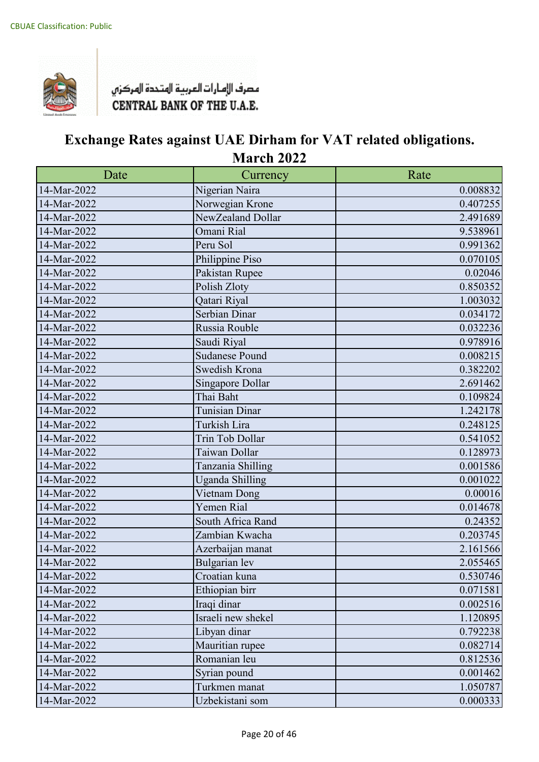

| Date        | Currency               | Rate     |
|-------------|------------------------|----------|
| 14-Mar-2022 | Nigerian Naira         | 0.008832 |
| 14-Mar-2022 | Norwegian Krone        | 0.407255 |
| 14-Mar-2022 | NewZealand Dollar      | 2.491689 |
| 14-Mar-2022 | Omani Rial             | 9.538961 |
| 14-Mar-2022 | Peru Sol               | 0.991362 |
| 14-Mar-2022 | Philippine Piso        | 0.070105 |
| 14-Mar-2022 | Pakistan Rupee         | 0.02046  |
| 14-Mar-2022 | Polish Zloty           | 0.850352 |
| 14-Mar-2022 | Qatari Riyal           | 1.003032 |
| 14-Mar-2022 | Serbian Dinar          | 0.034172 |
| 14-Mar-2022 | Russia Rouble          | 0.032236 |
| 14-Mar-2022 | Saudi Riyal            | 0.978916 |
| 14-Mar-2022 | <b>Sudanese Pound</b>  | 0.008215 |
| 14-Mar-2022 | Swedish Krona          | 0.382202 |
| 14-Mar-2022 | Singapore Dollar       | 2.691462 |
| 14-Mar-2022 | Thai Baht              | 0.109824 |
| 14-Mar-2022 | Tunisian Dinar         | 1.242178 |
| 14-Mar-2022 | Turkish Lira           | 0.248125 |
| 14-Mar-2022 | Trin Tob Dollar        | 0.541052 |
| 14-Mar-2022 | Taiwan Dollar          | 0.128973 |
| 14-Mar-2022 | Tanzania Shilling      | 0.001586 |
| 14-Mar-2022 | <b>Uganda Shilling</b> | 0.001022 |
| 14-Mar-2022 | Vietnam Dong           | 0.00016  |
| 14-Mar-2022 | Yemen Rial             | 0.014678 |
| 14-Mar-2022 | South Africa Rand      | 0.24352  |
| 14-Mar-2022 | Zambian Kwacha         | 0.203745 |
| 14-Mar-2022 | Azerbaijan manat       | 2.161566 |
| 14-Mar-2022 | Bulgarian lev          | 2.055465 |
| 14-Mar-2022 | Croatian kuna          | 0.530746 |
| 14-Mar-2022 | Ethiopian birr         | 0.071581 |
| 14-Mar-2022 | Iraqi dinar            | 0.002516 |
| 14-Mar-2022 | Israeli new shekel     | 1.120895 |
| 14-Mar-2022 | Libyan dinar           | 0.792238 |
| 14-Mar-2022 | Mauritian rupee        | 0.082714 |
| 14-Mar-2022 | Romanian leu           | 0.812536 |
| 14-Mar-2022 | Syrian pound           | 0.001462 |
| 14-Mar-2022 | Turkmen manat          | 1.050787 |
| 14-Mar-2022 | Uzbekistani som        | 0.000333 |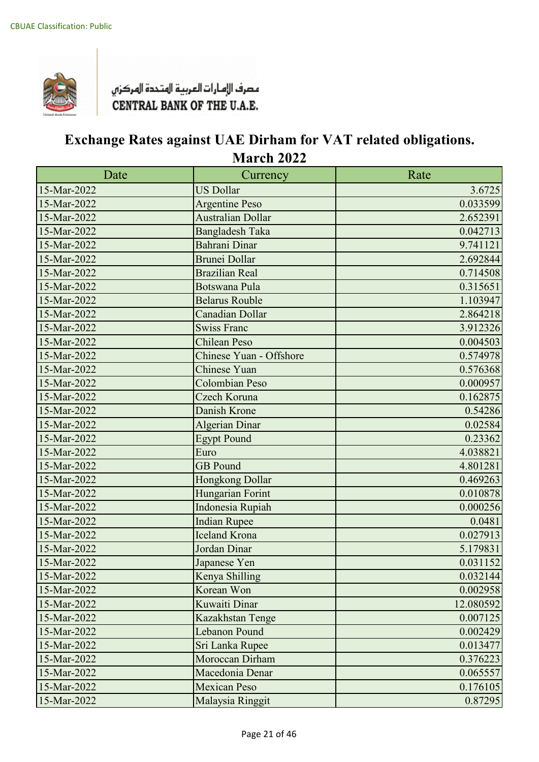

| Date        | Currency                 | Rate      |
|-------------|--------------------------|-----------|
| 15-Mar-2022 | <b>US Dollar</b>         | 3.6725    |
| 15-Mar-2022 | <b>Argentine Peso</b>    | 0.033599  |
| 15-Mar-2022 | <b>Australian Dollar</b> | 2.652391  |
| 15-Mar-2022 | <b>Bangladesh Taka</b>   | 0.042713  |
| 15-Mar-2022 | Bahrani Dinar            | 9.741121  |
| 15-Mar-2022 | Brunei Dollar            | 2.692844  |
| 15-Mar-2022 | <b>Brazilian Real</b>    | 0.714508  |
| 15-Mar-2022 | <b>Botswana Pula</b>     | 0.315651  |
| 15-Mar-2022 | <b>Belarus Rouble</b>    | 1.103947  |
| 15-Mar-2022 | Canadian Dollar          | 2.864218  |
| 15-Mar-2022 | <b>Swiss Franc</b>       | 3.912326  |
| 15-Mar-2022 | <b>Chilean Peso</b>      | 0.004503  |
| 15-Mar-2022 | Chinese Yuan - Offshore  | 0.574978  |
| 15-Mar-2022 | <b>Chinese Yuan</b>      | 0.576368  |
| 15-Mar-2022 | <b>Colombian Peso</b>    | 0.000957  |
| 15-Mar-2022 | Czech Koruna             | 0.162875  |
| 15-Mar-2022 | Danish Krone             | 0.54286   |
| 15-Mar-2022 | <b>Algerian Dinar</b>    | 0.02584   |
| 15-Mar-2022 | <b>Egypt Pound</b>       | 0.23362   |
| 15-Mar-2022 | Euro                     | 4.038821  |
| 15-Mar-2022 | <b>GB</b> Pound          | 4.801281  |
| 15-Mar-2022 | Hongkong Dollar          | 0.469263  |
| 15-Mar-2022 | Hungarian Forint         | 0.010878  |
| 15-Mar-2022 | Indonesia Rupiah         | 0.000256  |
| 15-Mar-2022 | <b>Indian Rupee</b>      | 0.0481    |
| 15-Mar-2022 | <b>Iceland Krona</b>     | 0.027913  |
| 15-Mar-2022 | Jordan Dinar             | 5.179831  |
| 15-Mar-2022 | Japanese Yen             | 0.031152  |
| 15-Mar-2022 | Kenya Shilling           | 0.032144  |
| 15-Mar-2022 | Korean Won               | 0.002958  |
| 15-Mar-2022 | Kuwaiti Dinar            | 12.080592 |
| 15-Mar-2022 | Kazakhstan Tenge         | 0.007125  |
| 15-Mar-2022 | <b>Lebanon Pound</b>     | 0.002429  |
| 15-Mar-2022 | Sri Lanka Rupee          | 0.013477  |
| 15-Mar-2022 | Moroccan Dirham          | 0.376223  |
| 15-Mar-2022 | Macedonia Denar          | 0.065557  |
| 15-Mar-2022 | <b>Mexican Peso</b>      | 0.176105  |
| 15-Mar-2022 | Malaysia Ringgit         | 0.87295   |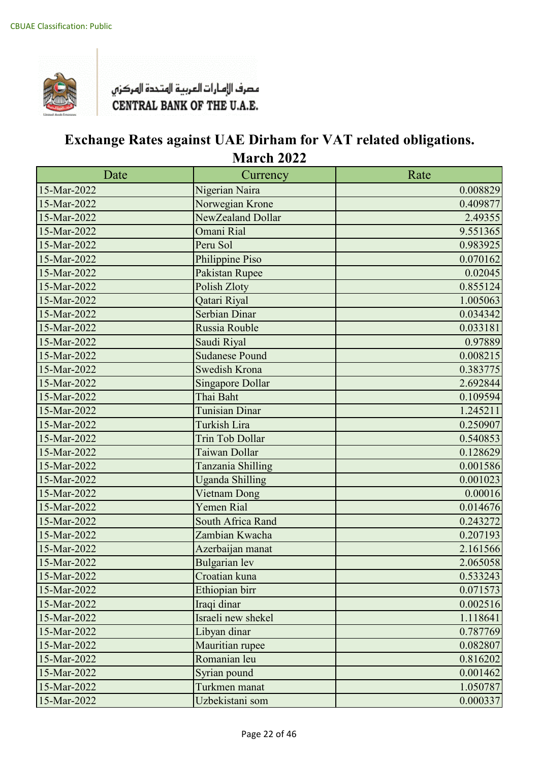

| Date        | Currency                | Rate     |
|-------------|-------------------------|----------|
| 15-Mar-2022 | Nigerian Naira          | 0.008829 |
| 15-Mar-2022 | Norwegian Krone         | 0.409877 |
| 15-Mar-2022 | NewZealand Dollar       | 2.49355  |
| 15-Mar-2022 | Omani Rial              | 9.551365 |
| 15-Mar-2022 | Peru Sol                | 0.983925 |
| 15-Mar-2022 | Philippine Piso         | 0.070162 |
| 15-Mar-2022 | Pakistan Rupee          | 0.02045  |
| 15-Mar-2022 | Polish Zloty            | 0.855124 |
| 15-Mar-2022 | Qatari Riyal            | 1.005063 |
| 15-Mar-2022 | Serbian Dinar           | 0.034342 |
| 15-Mar-2022 | Russia Rouble           | 0.033181 |
| 15-Mar-2022 | Saudi Riyal             | 0.97889  |
| 15-Mar-2022 | <b>Sudanese Pound</b>   | 0.008215 |
| 15-Mar-2022 | <b>Swedish Krona</b>    | 0.383775 |
| 15-Mar-2022 | <b>Singapore Dollar</b> | 2.692844 |
| 15-Mar-2022 | Thai Baht               | 0.109594 |
| 15-Mar-2022 | <b>Tunisian Dinar</b>   | 1.245211 |
| 15-Mar-2022 | Turkish Lira            | 0.250907 |
| 15-Mar-2022 | <b>Trin Tob Dollar</b>  | 0.540853 |
| 15-Mar-2022 | Taiwan Dollar           | 0.128629 |
| 15-Mar-2022 | Tanzania Shilling       | 0.001586 |
| 15-Mar-2022 | <b>Uganda Shilling</b>  | 0.001023 |
| 15-Mar-2022 | Vietnam Dong            | 0.00016  |
| 15-Mar-2022 | <b>Yemen Rial</b>       | 0.014676 |
| 15-Mar-2022 | South Africa Rand       | 0.243272 |
| 15-Mar-2022 | Zambian Kwacha          | 0.207193 |
| 15-Mar-2022 | Azerbaijan manat        | 2.161566 |
| 15-Mar-2022 | <b>Bulgarian</b> lev    | 2.065058 |
| 15-Mar-2022 | Croatian kuna           | 0.533243 |
| 15-Mar-2022 | Ethiopian birr          | 0.071573 |
| 15-Mar-2022 | Iraqi dinar             | 0.002516 |
| 15-Mar-2022 | Israeli new shekel      | 1.118641 |
| 15-Mar-2022 | Libyan dinar            | 0.787769 |
| 15-Mar-2022 | Mauritian rupee         | 0.082807 |
| 15-Mar-2022 | Romanian leu            | 0.816202 |
| 15-Mar-2022 | Syrian pound            | 0.001462 |
| 15-Mar-2022 | Turkmen manat           | 1.050787 |
| 15-Mar-2022 | Uzbekistani som         | 0.000337 |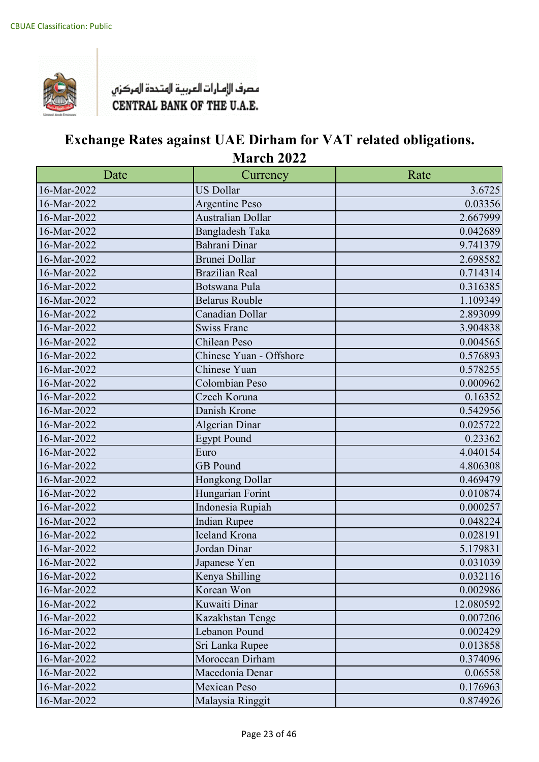

| Date        | Currency                | Rate      |
|-------------|-------------------------|-----------|
| 16-Mar-2022 | <b>US Dollar</b>        | 3.6725    |
| 16-Mar-2022 | <b>Argentine Peso</b>   | 0.03356   |
| 16-Mar-2022 | Australian Dollar       | 2.667999  |
| 16-Mar-2022 | <b>Bangladesh Taka</b>  | 0.042689  |
| 16-Mar-2022 | Bahrani Dinar           | 9.741379  |
| 16-Mar-2022 | <b>Brunei Dollar</b>    | 2.698582  |
| 16-Mar-2022 | <b>Brazilian Real</b>   | 0.714314  |
| 16-Mar-2022 | Botswana Pula           | 0.316385  |
| 16-Mar-2022 | <b>Belarus Rouble</b>   | 1.109349  |
| 16-Mar-2022 | Canadian Dollar         | 2.893099  |
| 16-Mar-2022 | <b>Swiss Franc</b>      | 3.904838  |
| 16-Mar-2022 | Chilean Peso            | 0.004565  |
| 16-Mar-2022 | Chinese Yuan - Offshore | 0.576893  |
| 16-Mar-2022 | Chinese Yuan            | 0.578255  |
| 16-Mar-2022 | Colombian Peso          | 0.000962  |
| 16-Mar-2022 | Czech Koruna            | 0.16352   |
| 16-Mar-2022 | Danish Krone            | 0.542956  |
| 16-Mar-2022 | Algerian Dinar          | 0.025722  |
| 16-Mar-2022 | <b>Egypt Pound</b>      | 0.23362   |
| 16-Mar-2022 | Euro                    | 4.040154  |
| 16-Mar-2022 | <b>GB</b> Pound         | 4.806308  |
| 16-Mar-2022 | Hongkong Dollar         | 0.469479  |
| 16-Mar-2022 | Hungarian Forint        | 0.010874  |
| 16-Mar-2022 | Indonesia Rupiah        | 0.000257  |
| 16-Mar-2022 | <b>Indian Rupee</b>     | 0.048224  |
| 16-Mar-2022 | <b>Iceland Krona</b>    | 0.028191  |
| 16-Mar-2022 | Jordan Dinar            | 5.179831  |
| 16-Mar-2022 | Japanese Yen            | 0.031039  |
| 16-Mar-2022 | Kenya Shilling          | 0.032116  |
| 16-Mar-2022 | Korean Won              | 0.002986  |
| 16-Mar-2022 | Kuwaiti Dinar           | 12.080592 |
| 16-Mar-2022 | Kazakhstan Tenge        | 0.007206  |
| 16-Mar-2022 | Lebanon Pound           | 0.002429  |
| 16-Mar-2022 | Sri Lanka Rupee         | 0.013858  |
| 16-Mar-2022 | Moroccan Dirham         | 0.374096  |
| 16-Mar-2022 | Macedonia Denar         | 0.06558   |
| 16-Mar-2022 | <b>Mexican Peso</b>     | 0.176963  |
| 16-Mar-2022 | Malaysia Ringgit        | 0.874926  |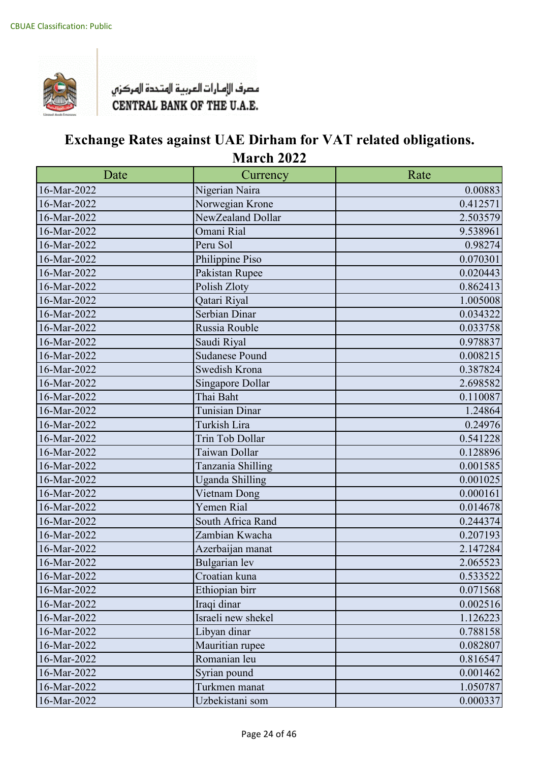

| Date        | Currency               | Rate     |
|-------------|------------------------|----------|
| 16-Mar-2022 | Nigerian Naira         | 0.00883  |
| 16-Mar-2022 | Norwegian Krone        | 0.412571 |
| 16-Mar-2022 | NewZealand Dollar      | 2.503579 |
| 16-Mar-2022 | Omani Rial             | 9.538961 |
| 16-Mar-2022 | Peru Sol               | 0.98274  |
| 16-Mar-2022 | Philippine Piso        | 0.070301 |
| 16-Mar-2022 | Pakistan Rupee         | 0.020443 |
| 16-Mar-2022 | Polish Zloty           | 0.862413 |
| 16-Mar-2022 | Qatari Riyal           | 1.005008 |
| 16-Mar-2022 | Serbian Dinar          | 0.034322 |
| 16-Mar-2022 | Russia Rouble          | 0.033758 |
| 16-Mar-2022 | Saudi Riyal            | 0.978837 |
| 16-Mar-2022 | <b>Sudanese Pound</b>  | 0.008215 |
| 16-Mar-2022 | Swedish Krona          | 0.387824 |
| 16-Mar-2022 | Singapore Dollar       | 2.698582 |
| 16-Mar-2022 | Thai Baht              | 0.110087 |
| 16-Mar-2022 | <b>Tunisian Dinar</b>  | 1.24864  |
| 16-Mar-2022 | Turkish Lira           | 0.24976  |
| 16-Mar-2022 | Trin Tob Dollar        | 0.541228 |
| 16-Mar-2022 | Taiwan Dollar          | 0.128896 |
| 16-Mar-2022 | Tanzania Shilling      | 0.001585 |
| 16-Mar-2022 | <b>Uganda Shilling</b> | 0.001025 |
| 16-Mar-2022 | Vietnam Dong           | 0.000161 |
| 16-Mar-2022 | Yemen Rial             | 0.014678 |
| 16-Mar-2022 | South Africa Rand      | 0.244374 |
| 16-Mar-2022 | Zambian Kwacha         | 0.207193 |
| 16-Mar-2022 | Azerbaijan manat       | 2.147284 |
| 16-Mar-2022 | Bulgarian lev          | 2.065523 |
| 16-Mar-2022 | Croatian kuna          | 0.533522 |
| 16-Mar-2022 | Ethiopian birr         | 0.071568 |
| 16-Mar-2022 | Iraqi dinar            | 0.002516 |
| 16-Mar-2022 | Israeli new shekel     | 1.126223 |
| 16-Mar-2022 | Libyan dinar           | 0.788158 |
| 16-Mar-2022 | Mauritian rupee        | 0.082807 |
| 16-Mar-2022 | Romanian leu           | 0.816547 |
| 16-Mar-2022 | Syrian pound           | 0.001462 |
| 16-Mar-2022 | Turkmen manat          | 1.050787 |
| 16-Mar-2022 | Uzbekistani som        | 0.000337 |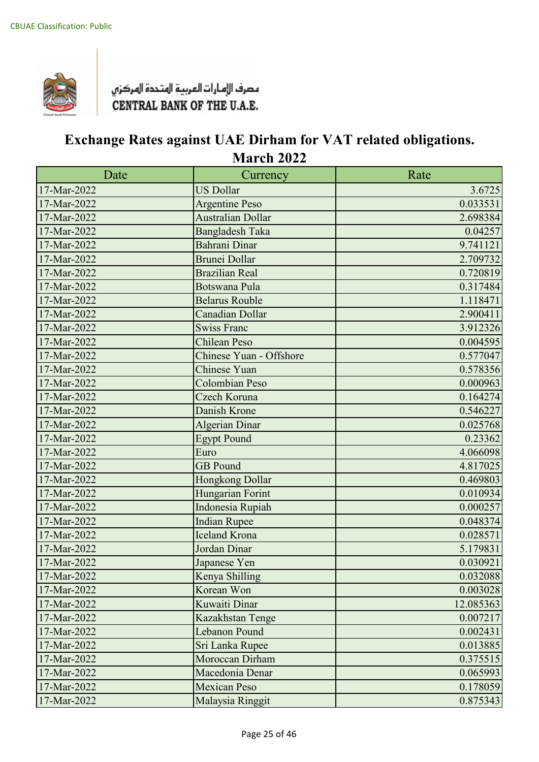

| Date        | Currency                 | Rate      |
|-------------|--------------------------|-----------|
| 17-Mar-2022 | <b>US Dollar</b>         | 3.6725    |
| 17-Mar-2022 | <b>Argentine Peso</b>    | 0.033531  |
| 17-Mar-2022 | <b>Australian Dollar</b> | 2.698384  |
| 17-Mar-2022 | <b>Bangladesh Taka</b>   | 0.04257   |
| 17-Mar-2022 | Bahrani Dinar            | 9.741121  |
| 17-Mar-2022 | Brunei Dollar            | 2.709732  |
| 17-Mar-2022 | <b>Brazilian Real</b>    | 0.720819  |
| 17-Mar-2022 | <b>Botswana Pula</b>     | 0.317484  |
| 17-Mar-2022 | <b>Belarus Rouble</b>    | 1.118471  |
| 17-Mar-2022 | Canadian Dollar          | 2.900411  |
| 17-Mar-2022 | <b>Swiss Franc</b>       | 3.912326  |
| 17-Mar-2022 | <b>Chilean Peso</b>      | 0.004595  |
| 17-Mar-2022 | Chinese Yuan - Offshore  | 0.577047  |
| 17-Mar-2022 | <b>Chinese Yuan</b>      | 0.578356  |
| 17-Mar-2022 | <b>Colombian Peso</b>    | 0.000963  |
| 17-Mar-2022 | Czech Koruna             | 0.164274  |
| 17-Mar-2022 | Danish Krone             | 0.546227  |
| 17-Mar-2022 | <b>Algerian Dinar</b>    | 0.025768  |
| 17-Mar-2022 | <b>Egypt Pound</b>       | 0.23362   |
| 17-Mar-2022 | Euro                     | 4.066098  |
| 17-Mar-2022 | <b>GB</b> Pound          | 4.817025  |
| 17-Mar-2022 | Hongkong Dollar          | 0.469803  |
| 17-Mar-2022 | Hungarian Forint         | 0.010934  |
| 17-Mar-2022 | Indonesia Rupiah         | 0.000257  |
| 17-Mar-2022 | <b>Indian Rupee</b>      | 0.048374  |
| 17-Mar-2022 | <b>Iceland Krona</b>     | 0.028571  |
| 17-Mar-2022 | Jordan Dinar             | 5.179831  |
| 17-Mar-2022 | Japanese Yen             | 0.030921  |
| 17-Mar-2022 | Kenya Shilling           | 0.032088  |
| 17-Mar-2022 | Korean Won               | 0.003028  |
| 17-Mar-2022 | Kuwaiti Dinar            | 12.085363 |
| 17-Mar-2022 | Kazakhstan Tenge         | 0.007217  |
| 17-Mar-2022 | Lebanon Pound            | 0.002431  |
| 17-Mar-2022 | Sri Lanka Rupee          | 0.013885  |
| 17-Mar-2022 | Moroccan Dirham          | 0.375515  |
| 17-Mar-2022 | Macedonia Denar          | 0.065993  |
| 17-Mar-2022 | <b>Mexican Peso</b>      | 0.178059  |
| 17-Mar-2022 | Malaysia Ringgit         | 0.875343  |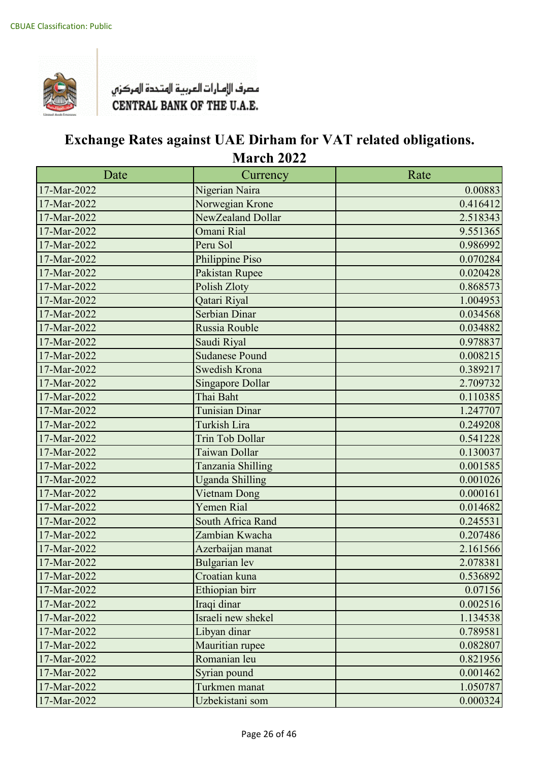

| Date        | Currency                | Rate     |
|-------------|-------------------------|----------|
| 17-Mar-2022 | Nigerian Naira          | 0.00883  |
| 17-Mar-2022 | Norwegian Krone         | 0.416412 |
| 17-Mar-2022 | NewZealand Dollar       | 2.518343 |
| 17-Mar-2022 | Omani Rial              | 9.551365 |
| 17-Mar-2022 | Peru Sol                | 0.986992 |
| 17-Mar-2022 | Philippine Piso         | 0.070284 |
| 17-Mar-2022 | Pakistan Rupee          | 0.020428 |
| 17-Mar-2022 | Polish Zloty            | 0.868573 |
| 17-Mar-2022 | Qatari Riyal            | 1.004953 |
| 17-Mar-2022 | Serbian Dinar           | 0.034568 |
| 17-Mar-2022 | Russia Rouble           | 0.034882 |
| 17-Mar-2022 | Saudi Riyal             | 0.978837 |
| 17-Mar-2022 | <b>Sudanese Pound</b>   | 0.008215 |
| 17-Mar-2022 | Swedish Krona           | 0.389217 |
| 17-Mar-2022 | <b>Singapore Dollar</b> | 2.709732 |
| 17-Mar-2022 | Thai Baht               | 0.110385 |
| 17-Mar-2022 | <b>Tunisian Dinar</b>   | 1.247707 |
| 17-Mar-2022 | <b>Turkish Lira</b>     | 0.249208 |
| 17-Mar-2022 | <b>Trin Tob Dollar</b>  | 0.541228 |
| 17-Mar-2022 | Taiwan Dollar           | 0.130037 |
| 17-Mar-2022 | Tanzania Shilling       | 0.001585 |
| 17-Mar-2022 | <b>Uganda Shilling</b>  | 0.001026 |
| 17-Mar-2022 | Vietnam Dong            | 0.000161 |
| 17-Mar-2022 | <b>Yemen Rial</b>       | 0.014682 |
| 17-Mar-2022 | South Africa Rand       | 0.245531 |
| 17-Mar-2022 | Zambian Kwacha          | 0.207486 |
| 17-Mar-2022 | Azerbaijan manat        | 2.161566 |
| 17-Mar-2022 | <b>Bulgarian</b> lev    | 2.078381 |
| 17-Mar-2022 | Croatian kuna           | 0.536892 |
| 17-Mar-2022 | Ethiopian birr          | 0.07156  |
| 17-Mar-2022 | Iraqi dinar             | 0.002516 |
| 17-Mar-2022 | Israeli new shekel      | 1.134538 |
| 17-Mar-2022 | Libyan dinar            | 0.789581 |
| 17-Mar-2022 | Mauritian rupee         | 0.082807 |
| 17-Mar-2022 | Romanian leu            | 0.821956 |
| 17-Mar-2022 | Syrian pound            | 0.001462 |
| 17-Mar-2022 | Turkmen manat           | 1.050787 |
| 17-Mar-2022 | Uzbekistani som         | 0.000324 |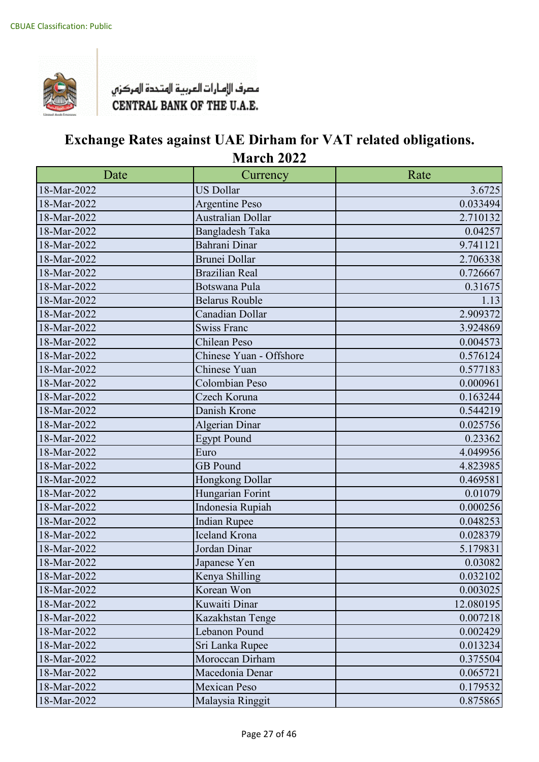

| Date        | Currency                | Rate      |
|-------------|-------------------------|-----------|
| 18-Mar-2022 | <b>US Dollar</b>        | 3.6725    |
| 18-Mar-2022 | <b>Argentine Peso</b>   | 0.033494  |
| 18-Mar-2022 | Australian Dollar       | 2.710132  |
| 18-Mar-2022 | <b>Bangladesh Taka</b>  | 0.04257   |
| 18-Mar-2022 | Bahrani Dinar           | 9.741121  |
| 18-Mar-2022 | <b>Brunei Dollar</b>    | 2.706338  |
| 18-Mar-2022 | <b>Brazilian Real</b>   | 0.726667  |
| 18-Mar-2022 | Botswana Pula           | 0.31675   |
| 18-Mar-2022 | Belarus Rouble          | 1.13      |
| 18-Mar-2022 | Canadian Dollar         | 2.909372  |
| 18-Mar-2022 | <b>Swiss Franc</b>      | 3.924869  |
| 18-Mar-2022 | Chilean Peso            | 0.004573  |
| 18-Mar-2022 | Chinese Yuan - Offshore | 0.576124  |
| 18-Mar-2022 | Chinese Yuan            | 0.577183  |
| 18-Mar-2022 | Colombian Peso          | 0.000961  |
| 18-Mar-2022 | Czech Koruna            | 0.163244  |
| 18-Mar-2022 | Danish Krone            | 0.544219  |
| 18-Mar-2022 | <b>Algerian Dinar</b>   | 0.025756  |
| 18-Mar-2022 | <b>Egypt Pound</b>      | 0.23362   |
| 18-Mar-2022 | Euro                    | 4.049956  |
| 18-Mar-2022 | <b>GB</b> Pound         | 4.823985  |
| 18-Mar-2022 | Hongkong Dollar         | 0.469581  |
| 18-Mar-2022 | Hungarian Forint        | 0.01079   |
| 18-Mar-2022 | Indonesia Rupiah        | 0.000256  |
| 18-Mar-2022 | <b>Indian Rupee</b>     | 0.048253  |
| 18-Mar-2022 | <b>Iceland Krona</b>    | 0.028379  |
| 18-Mar-2022 | Jordan Dinar            | 5.179831  |
| 18-Mar-2022 | Japanese Yen            | 0.03082   |
| 18-Mar-2022 | Kenya Shilling          | 0.032102  |
| 18-Mar-2022 | Korean Won              | 0.003025  |
| 18-Mar-2022 | Kuwaiti Dinar           | 12.080195 |
| 18-Mar-2022 | Kazakhstan Tenge        | 0.007218  |
| 18-Mar-2022 | Lebanon Pound           | 0.002429  |
| 18-Mar-2022 | Sri Lanka Rupee         | 0.013234  |
| 18-Mar-2022 | Moroccan Dirham         | 0.375504  |
| 18-Mar-2022 | Macedonia Denar         | 0.065721  |
| 18-Mar-2022 | <b>Mexican Peso</b>     | 0.179532  |
| 18-Mar-2022 | Malaysia Ringgit        | 0.875865  |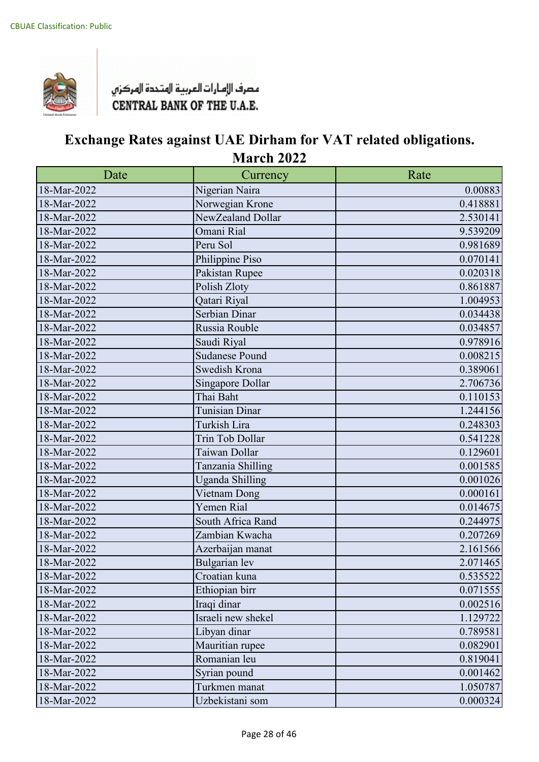

| Date        | Currency               | Rate     |
|-------------|------------------------|----------|
| 18-Mar-2022 | Nigerian Naira         | 0.00883  |
| 18-Mar-2022 | Norwegian Krone        | 0.418881 |
| 18-Mar-2022 | NewZealand Dollar      | 2.530141 |
| 18-Mar-2022 | Omani Rial             | 9.539209 |
| 18-Mar-2022 | Peru Sol               | 0.981689 |
| 18-Mar-2022 | Philippine Piso        | 0.070141 |
| 18-Mar-2022 | Pakistan Rupee         | 0.020318 |
| 18-Mar-2022 | Polish Zloty           | 0.861887 |
| 18-Mar-2022 | Qatari Riyal           | 1.004953 |
| 18-Mar-2022 | Serbian Dinar          | 0.034438 |
| 18-Mar-2022 | Russia Rouble          | 0.034857 |
| 18-Mar-2022 | Saudi Riyal            | 0.978916 |
| 18-Mar-2022 | <b>Sudanese Pound</b>  | 0.008215 |
| 18-Mar-2022 | Swedish Krona          | 0.389061 |
| 18-Mar-2022 | Singapore Dollar       | 2.706736 |
| 18-Mar-2022 | Thai Baht              | 0.110153 |
| 18-Mar-2022 | <b>Tunisian Dinar</b>  | 1.244156 |
| 18-Mar-2022 | Turkish Lira           | 0.248303 |
| 18-Mar-2022 | Trin Tob Dollar        | 0.541228 |
| 18-Mar-2022 | Taiwan Dollar          | 0.129601 |
| 18-Mar-2022 | Tanzania Shilling      | 0.001585 |
| 18-Mar-2022 | <b>Uganda Shilling</b> | 0.001026 |
| 18-Mar-2022 | Vietnam Dong           | 0.000161 |
| 18-Mar-2022 | Yemen Rial             | 0.014675 |
| 18-Mar-2022 | South Africa Rand      | 0.244975 |
| 18-Mar-2022 | Zambian Kwacha         | 0.207269 |
| 18-Mar-2022 | Azerbaijan manat       | 2.161566 |
| 18-Mar-2022 | Bulgarian lev          | 2.071465 |
| 18-Mar-2022 | Croatian kuna          | 0.535522 |
| 18-Mar-2022 | Ethiopian birr         | 0.071555 |
| 18-Mar-2022 | Iraqi dinar            | 0.002516 |
| 18-Mar-2022 | Israeli new shekel     | 1.129722 |
| 18-Mar-2022 | Libyan dinar           | 0.789581 |
| 18-Mar-2022 | Mauritian rupee        | 0.082901 |
| 18-Mar-2022 | Romanian leu           | 0.819041 |
| 18-Mar-2022 | Syrian pound           | 0.001462 |
| 18-Mar-2022 | Turkmen manat          | 1.050787 |
| 18-Mar-2022 | Uzbekistani som        | 0.000324 |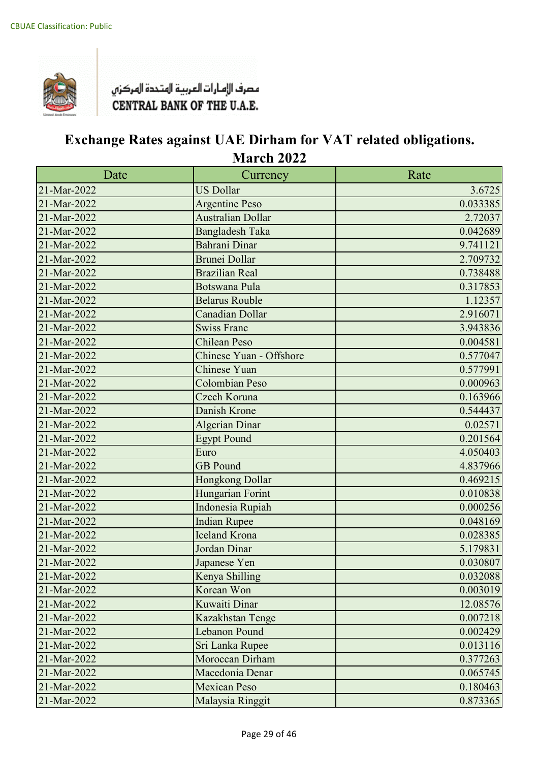

| Date        | Currency                 | Rate     |
|-------------|--------------------------|----------|
| 21-Mar-2022 | <b>US Dollar</b>         | 3.6725   |
| 21-Mar-2022 | <b>Argentine Peso</b>    | 0.033385 |
| 21-Mar-2022 | <b>Australian Dollar</b> | 2.72037  |
| 21-Mar-2022 | <b>Bangladesh Taka</b>   | 0.042689 |
| 21-Mar-2022 | Bahrani Dinar            | 9.741121 |
| 21-Mar-2022 | Brunei Dollar            | 2.709732 |
| 21-Mar-2022 | <b>Brazilian Real</b>    | 0.738488 |
| 21-Mar-2022 | <b>Botswana Pula</b>     | 0.317853 |
| 21-Mar-2022 | <b>Belarus Rouble</b>    | 1.12357  |
| 21-Mar-2022 | Canadian Dollar          | 2.916071 |
| 21-Mar-2022 | <b>Swiss Franc</b>       | 3.943836 |
| 21-Mar-2022 | <b>Chilean Peso</b>      | 0.004581 |
| 21-Mar-2022 | Chinese Yuan - Offshore  | 0.577047 |
| 21-Mar-2022 | <b>Chinese Yuan</b>      | 0.577991 |
| 21-Mar-2022 | <b>Colombian Peso</b>    | 0.000963 |
| 21-Mar-2022 | Czech Koruna             | 0.163966 |
| 21-Mar-2022 | Danish Krone             | 0.544437 |
| 21-Mar-2022 | <b>Algerian Dinar</b>    | 0.02571  |
| 21-Mar-2022 | <b>Egypt Pound</b>       | 0.201564 |
| 21-Mar-2022 | Euro                     | 4.050403 |
| 21-Mar-2022 | <b>GB</b> Pound          | 4.837966 |
| 21-Mar-2022 | Hongkong Dollar          | 0.469215 |
| 21-Mar-2022 | Hungarian Forint         | 0.010838 |
| 21-Mar-2022 | Indonesia Rupiah         | 0.000256 |
| 21-Mar-2022 | <b>Indian Rupee</b>      | 0.048169 |
| 21-Mar-2022 | <b>Iceland Krona</b>     | 0.028385 |
| 21-Mar-2022 | Jordan Dinar             | 5.179831 |
| 21-Mar-2022 | Japanese Yen             | 0.030807 |
| 21-Mar-2022 | Kenya Shilling           | 0.032088 |
| 21-Mar-2022 | Korean Won               | 0.003019 |
| 21-Mar-2022 | Kuwaiti Dinar            | 12.08576 |
| 21-Mar-2022 | Kazakhstan Tenge         | 0.007218 |
| 21-Mar-2022 | Lebanon Pound            | 0.002429 |
| 21-Mar-2022 | Sri Lanka Rupee          | 0.013116 |
| 21-Mar-2022 | Moroccan Dirham          | 0.377263 |
| 21-Mar-2022 | Macedonia Denar          | 0.065745 |
| 21-Mar-2022 | <b>Mexican Peso</b>      | 0.180463 |
| 21-Mar-2022 | Malaysia Ringgit         | 0.873365 |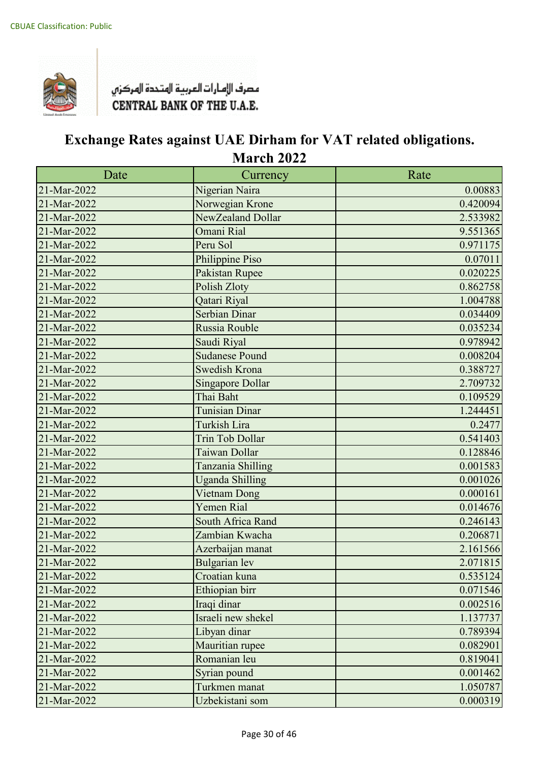

| Date        | Currency                | Rate     |
|-------------|-------------------------|----------|
| 21-Mar-2022 | Nigerian Naira          | 0.00883  |
| 21-Mar-2022 | Norwegian Krone         | 0.420094 |
| 21-Mar-2022 | NewZealand Dollar       | 2.533982 |
| 21-Mar-2022 | Omani Rial              | 9.551365 |
| 21-Mar-2022 | Peru Sol                | 0.971175 |
| 21-Mar-2022 | Philippine Piso         | 0.07011  |
| 21-Mar-2022 | Pakistan Rupee          | 0.020225 |
| 21-Mar-2022 | Polish Zloty            | 0.862758 |
| 21-Mar-2022 | Qatari Riyal            | 1.004788 |
| 21-Mar-2022 | Serbian Dinar           | 0.034409 |
| 21-Mar-2022 | Russia Rouble           | 0.035234 |
| 21-Mar-2022 | Saudi Riyal             | 0.978942 |
| 21-Mar-2022 | <b>Sudanese Pound</b>   | 0.008204 |
| 21-Mar-2022 | <b>Swedish Krona</b>    | 0.388727 |
| 21-Mar-2022 | <b>Singapore Dollar</b> | 2.709732 |
| 21-Mar-2022 | Thai Baht               | 0.109529 |
| 21-Mar-2022 | <b>Tunisian Dinar</b>   | 1.244451 |
| 21-Mar-2022 | <b>Turkish Lira</b>     | 0.2477   |
| 21-Mar-2022 | <b>Trin Tob Dollar</b>  | 0.541403 |
| 21-Mar-2022 | Taiwan Dollar           | 0.128846 |
| 21-Mar-2022 | Tanzania Shilling       | 0.001583 |
| 21-Mar-2022 | <b>Uganda Shilling</b>  | 0.001026 |
| 21-Mar-2022 | Vietnam Dong            | 0.000161 |
| 21-Mar-2022 | Yemen Rial              | 0.014676 |
| 21-Mar-2022 | South Africa Rand       | 0.246143 |
| 21-Mar-2022 | Zambian Kwacha          | 0.206871 |
| 21-Mar-2022 | Azerbaijan manat        | 2.161566 |
| 21-Mar-2022 | <b>Bulgarian</b> lev    | 2.071815 |
| 21-Mar-2022 | Croatian kuna           | 0.535124 |
| 21-Mar-2022 | Ethiopian birr          | 0.071546 |
| 21-Mar-2022 | Iraqi dinar             | 0.002516 |
| 21-Mar-2022 | Israeli new shekel      | 1.137737 |
| 21-Mar-2022 | Libyan dinar            | 0.789394 |
| 21-Mar-2022 | Mauritian rupee         | 0.082901 |
| 21-Mar-2022 | Romanian leu            | 0.819041 |
| 21-Mar-2022 | Syrian pound            | 0.001462 |
| 21-Mar-2022 | Turkmen manat           | 1.050787 |
| 21-Mar-2022 | Uzbekistani som         | 0.000319 |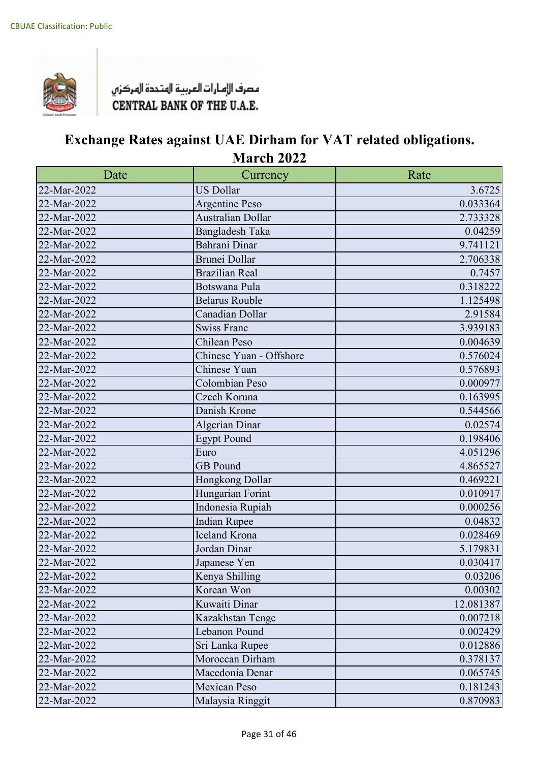

| Date        | Currency                | Rate      |
|-------------|-------------------------|-----------|
| 22-Mar-2022 | <b>US Dollar</b>        | 3.6725    |
| 22-Mar-2022 | <b>Argentine Peso</b>   | 0.033364  |
| 22-Mar-2022 | Australian Dollar       | 2.733328  |
| 22-Mar-2022 | <b>Bangladesh Taka</b>  | 0.04259   |
| 22-Mar-2022 | Bahrani Dinar           | 9.741121  |
| 22-Mar-2022 | <b>Brunei Dollar</b>    | 2.706338  |
| 22-Mar-2022 | <b>Brazilian Real</b>   | 0.7457    |
| 22-Mar-2022 | Botswana Pula           | 0.318222  |
| 22-Mar-2022 | <b>Belarus Rouble</b>   | 1.125498  |
| 22-Mar-2022 | Canadian Dollar         | 2.91584   |
| 22-Mar-2022 | <b>Swiss Franc</b>      | 3.939183  |
| 22-Mar-2022 | Chilean Peso            | 0.004639  |
| 22-Mar-2022 | Chinese Yuan - Offshore | 0.576024  |
| 22-Mar-2022 | Chinese Yuan            | 0.576893  |
| 22-Mar-2022 | Colombian Peso          | 0.000977  |
| 22-Mar-2022 | Czech Koruna            | 0.163995  |
| 22-Mar-2022 | Danish Krone            | 0.544566  |
| 22-Mar-2022 | <b>Algerian Dinar</b>   | 0.02574   |
| 22-Mar-2022 | <b>Egypt Pound</b>      | 0.198406  |
| 22-Mar-2022 | Euro                    | 4.051296  |
| 22-Mar-2022 | <b>GB</b> Pound         | 4.865527  |
| 22-Mar-2022 | Hongkong Dollar         | 0.469221  |
| 22-Mar-2022 | Hungarian Forint        | 0.010917  |
| 22-Mar-2022 | Indonesia Rupiah        | 0.000256  |
| 22-Mar-2022 | <b>Indian Rupee</b>     | 0.04832   |
| 22-Mar-2022 | <b>Iceland Krona</b>    | 0.028469  |
| 22-Mar-2022 | Jordan Dinar            | 5.179831  |
| 22-Mar-2022 | Japanese Yen            | 0.030417  |
| 22-Mar-2022 | Kenya Shilling          | 0.03206   |
| 22-Mar-2022 | Korean Won              | 0.00302   |
| 22-Mar-2022 | Kuwaiti Dinar           | 12.081387 |
| 22-Mar-2022 | Kazakhstan Tenge        | 0.007218  |
| 22-Mar-2022 | Lebanon Pound           | 0.002429  |
| 22-Mar-2022 | Sri Lanka Rupee         | 0.012886  |
| 22-Mar-2022 | Moroccan Dirham         | 0.378137  |
| 22-Mar-2022 | Macedonia Denar         | 0.065745  |
| 22-Mar-2022 | <b>Mexican Peso</b>     | 0.181243  |
| 22-Mar-2022 | Malaysia Ringgit        | 0.870983  |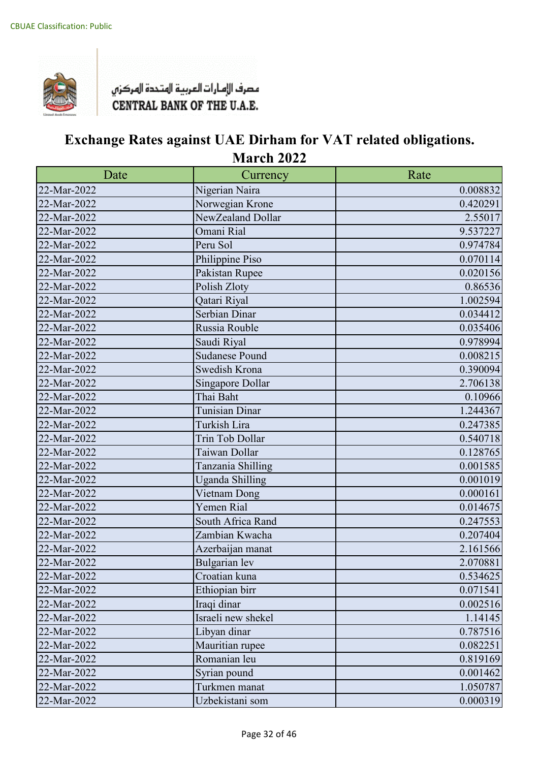

| Date        | Currency               | Rate     |
|-------------|------------------------|----------|
| 22-Mar-2022 | Nigerian Naira         | 0.008832 |
| 22-Mar-2022 | Norwegian Krone        | 0.420291 |
| 22-Mar-2022 | NewZealand Dollar      | 2.55017  |
| 22-Mar-2022 | Omani Rial             | 9.537227 |
| 22-Mar-2022 | Peru Sol               | 0.974784 |
| 22-Mar-2022 | Philippine Piso        | 0.070114 |
| 22-Mar-2022 | Pakistan Rupee         | 0.020156 |
| 22-Mar-2022 | Polish Zloty           | 0.86536  |
| 22-Mar-2022 | Qatari Riyal           | 1.002594 |
| 22-Mar-2022 | Serbian Dinar          | 0.034412 |
| 22-Mar-2022 | Russia Rouble          | 0.035406 |
| 22-Mar-2022 | Saudi Riyal            | 0.978994 |
| 22-Mar-2022 | <b>Sudanese Pound</b>  | 0.008215 |
| 22-Mar-2022 | Swedish Krona          | 0.390094 |
| 22-Mar-2022 | Singapore Dollar       | 2.706138 |
| 22-Mar-2022 | Thai Baht              | 0.10966  |
| 22-Mar-2022 | Tunisian Dinar         | 1.244367 |
| 22-Mar-2022 | Turkish Lira           | 0.247385 |
| 22-Mar-2022 | Trin Tob Dollar        | 0.540718 |
| 22-Mar-2022 | Taiwan Dollar          | 0.128765 |
| 22-Mar-2022 | Tanzania Shilling      | 0.001585 |
| 22-Mar-2022 | <b>Uganda Shilling</b> | 0.001019 |
| 22-Mar-2022 | Vietnam Dong           | 0.000161 |
| 22-Mar-2022 | Yemen Rial             | 0.014675 |
| 22-Mar-2022 | South Africa Rand      | 0.247553 |
| 22-Mar-2022 | Zambian Kwacha         | 0.207404 |
| 22-Mar-2022 | Azerbaijan manat       | 2.161566 |
| 22-Mar-2022 | <b>Bulgarian</b> lev   | 2.070881 |
| 22-Mar-2022 | Croatian kuna          | 0.534625 |
| 22-Mar-2022 | Ethiopian birr         | 0.071541 |
| 22-Mar-2022 | Iraqi dinar            | 0.002516 |
| 22-Mar-2022 | Israeli new shekel     | 1.14145  |
| 22-Mar-2022 | Libyan dinar           | 0.787516 |
| 22-Mar-2022 | Mauritian rupee        | 0.082251 |
| 22-Mar-2022 | Romanian leu           | 0.819169 |
| 22-Mar-2022 | Syrian pound           | 0.001462 |
| 22-Mar-2022 | Turkmen manat          | 1.050787 |
| 22-Mar-2022 | Uzbekistani som        | 0.000319 |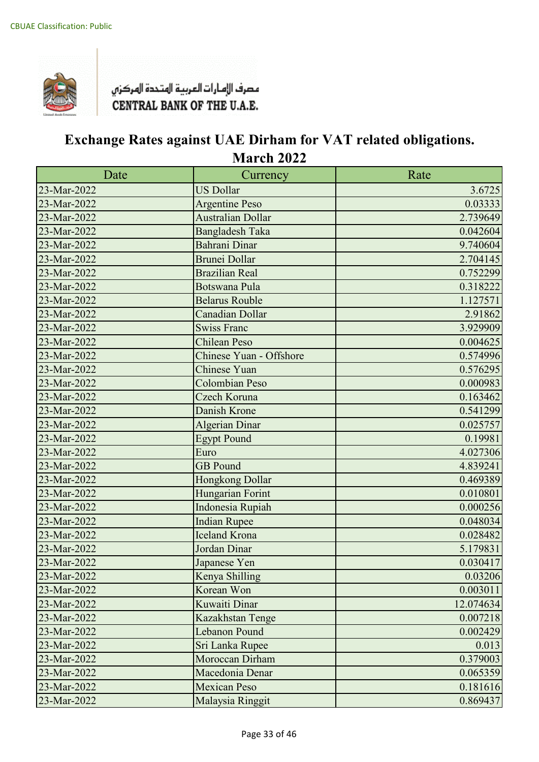

| Date        | Currency                 | Rate      |
|-------------|--------------------------|-----------|
| 23-Mar-2022 | <b>US Dollar</b>         | 3.6725    |
| 23-Mar-2022 | <b>Argentine Peso</b>    | 0.03333   |
| 23-Mar-2022 | <b>Australian Dollar</b> | 2.739649  |
| 23-Mar-2022 | <b>Bangladesh Taka</b>   | 0.042604  |
| 23-Mar-2022 | Bahrani Dinar            | 9.740604  |
| 23-Mar-2022 | <b>Brunei Dollar</b>     | 2.704145  |
| 23-Mar-2022 | <b>Brazilian Real</b>    | 0.752299  |
| 23-Mar-2022 | <b>Botswana Pula</b>     | 0.318222  |
| 23-Mar-2022 | <b>Belarus Rouble</b>    | 1.127571  |
| 23-Mar-2022 | <b>Canadian Dollar</b>   | 2.91862   |
| 23-Mar-2022 | <b>Swiss Franc</b>       | 3.929909  |
| 23-Mar-2022 | <b>Chilean Peso</b>      | 0.004625  |
| 23-Mar-2022 | Chinese Yuan - Offshore  | 0.574996  |
| 23-Mar-2022 | Chinese Yuan             | 0.576295  |
| 23-Mar-2022 | <b>Colombian Peso</b>    | 0.000983  |
| 23-Mar-2022 | Czech Koruna             | 0.163462  |
| 23-Mar-2022 | Danish Krone             | 0.541299  |
| 23-Mar-2022 | <b>Algerian Dinar</b>    | 0.025757  |
| 23-Mar-2022 | <b>Egypt Pound</b>       | 0.19981   |
| 23-Mar-2022 | Euro                     | 4.027306  |
| 23-Mar-2022 | <b>GB</b> Pound          | 4.839241  |
| 23-Mar-2022 | Hongkong Dollar          | 0.469389  |
| 23-Mar-2022 | Hungarian Forint         | 0.010801  |
| 23-Mar-2022 | Indonesia Rupiah         | 0.000256  |
| 23-Mar-2022 | <b>Indian Rupee</b>      | 0.048034  |
| 23-Mar-2022 | <b>Iceland Krona</b>     | 0.028482  |
| 23-Mar-2022 | Jordan Dinar             | 5.179831  |
| 23-Mar-2022 | Japanese Yen             | 0.030417  |
| 23-Mar-2022 | Kenya Shilling           | 0.03206   |
| 23-Mar-2022 | Korean Won               | 0.003011  |
| 23-Mar-2022 | Kuwaiti Dinar            | 12.074634 |
| 23-Mar-2022 | Kazakhstan Tenge         | 0.007218  |
| 23-Mar-2022 | <b>Lebanon Pound</b>     | 0.002429  |
| 23-Mar-2022 | Sri Lanka Rupee          | 0.013     |
| 23-Mar-2022 | Moroccan Dirham          | 0.379003  |
| 23-Mar-2022 | Macedonia Denar          | 0.065359  |
| 23-Mar-2022 | <b>Mexican Peso</b>      | 0.181616  |
| 23-Mar-2022 | Malaysia Ringgit         | 0.869437  |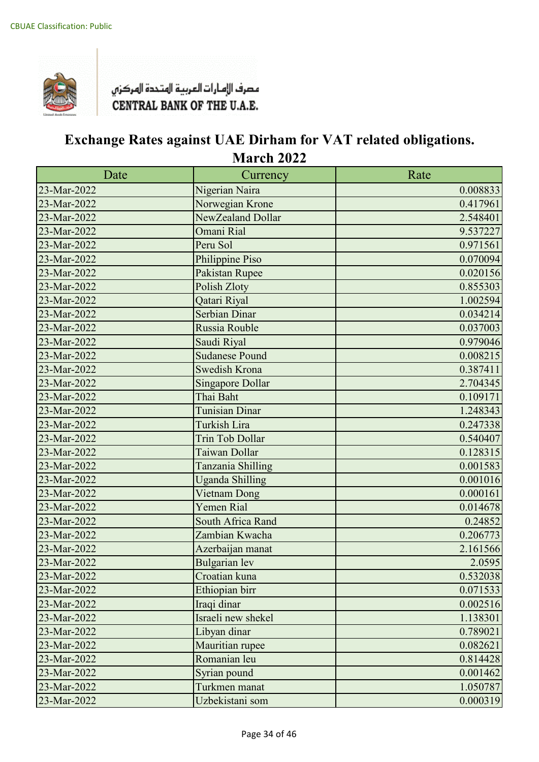

| Date        | Currency                | Rate     |
|-------------|-------------------------|----------|
| 23-Mar-2022 | Nigerian Naira          | 0.008833 |
| 23-Mar-2022 | Norwegian Krone         | 0.417961 |
| 23-Mar-2022 | NewZealand Dollar       | 2.548401 |
| 23-Mar-2022 | Omani Rial              | 9.537227 |
| 23-Mar-2022 | Peru Sol                | 0.971561 |
| 23-Mar-2022 | Philippine Piso         | 0.070094 |
| 23-Mar-2022 | Pakistan Rupee          | 0.020156 |
| 23-Mar-2022 | Polish Zloty            | 0.855303 |
| 23-Mar-2022 | Qatari Riyal            | 1.002594 |
| 23-Mar-2022 | <b>Serbian Dinar</b>    | 0.034214 |
| 23-Mar-2022 | Russia Rouble           | 0.037003 |
| 23-Mar-2022 | Saudi Riyal             | 0.979046 |
| 23-Mar-2022 | <b>Sudanese Pound</b>   | 0.008215 |
| 23-Mar-2022 | Swedish Krona           | 0.387411 |
| 23-Mar-2022 | <b>Singapore Dollar</b> | 2.704345 |
| 23-Mar-2022 | Thai Baht               | 0.109171 |
| 23-Mar-2022 | Tunisian Dinar          | 1.248343 |
| 23-Mar-2022 | Turkish Lira            | 0.247338 |
| 23-Mar-2022 | <b>Trin Tob Dollar</b>  | 0.540407 |
| 23-Mar-2022 | Taiwan Dollar           | 0.128315 |
| 23-Mar-2022 | Tanzania Shilling       | 0.001583 |
| 23-Mar-2022 | <b>Uganda Shilling</b>  | 0.001016 |
| 23-Mar-2022 | Vietnam Dong            | 0.000161 |
| 23-Mar-2022 | Yemen Rial              | 0.014678 |
| 23-Mar-2022 | South Africa Rand       | 0.24852  |
| 23-Mar-2022 | Zambian Kwacha          | 0.206773 |
| 23-Mar-2022 | Azerbaijan manat        | 2.161566 |
| 23-Mar-2022 | <b>Bulgarian</b> lev    | 2.0595   |
| 23-Mar-2022 | Croatian kuna           | 0.532038 |
| 23-Mar-2022 | Ethiopian birr          | 0.071533 |
| 23-Mar-2022 | Iraqi dinar             | 0.002516 |
| 23-Mar-2022 | Israeli new shekel      | 1.138301 |
| 23-Mar-2022 | Libyan dinar            | 0.789021 |
| 23-Mar-2022 | Mauritian rupee         | 0.082621 |
| 23-Mar-2022 | Romanian leu            | 0.814428 |
| 23-Mar-2022 | Syrian pound            | 0.001462 |
| 23-Mar-2022 | Turkmen manat           | 1.050787 |
| 23-Mar-2022 | Uzbekistani som         | 0.000319 |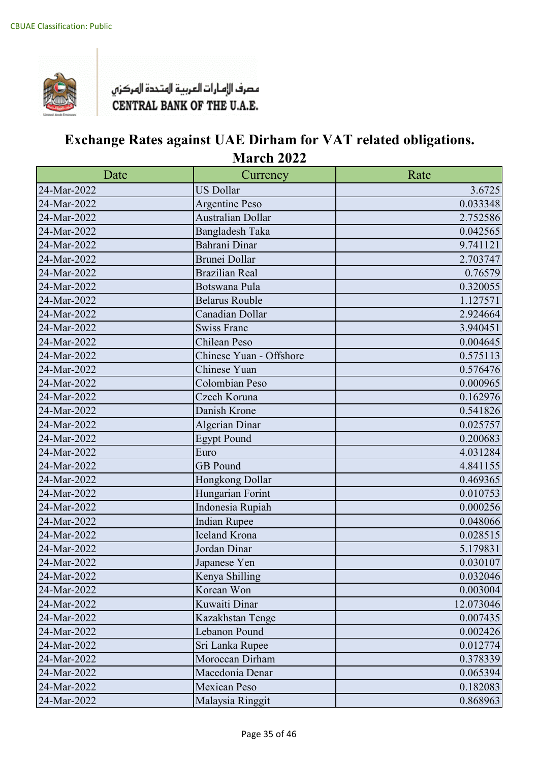

| Date        | Currency                | Rate      |
|-------------|-------------------------|-----------|
| 24-Mar-2022 | <b>US Dollar</b>        | 3.6725    |
| 24-Mar-2022 | <b>Argentine Peso</b>   | 0.033348  |
| 24-Mar-2022 | Australian Dollar       | 2.752586  |
| 24-Mar-2022 | <b>Bangladesh Taka</b>  | 0.042565  |
| 24-Mar-2022 | Bahrani Dinar           | 9.741121  |
| 24-Mar-2022 | <b>Brunei Dollar</b>    | 2.703747  |
| 24-Mar-2022 | <b>Brazilian Real</b>   | 0.76579   |
| 24-Mar-2022 | Botswana Pula           | 0.320055  |
| 24-Mar-2022 | <b>Belarus Rouble</b>   | 1.127571  |
| 24-Mar-2022 | Canadian Dollar         | 2.924664  |
| 24-Mar-2022 | <b>Swiss Franc</b>      | 3.940451  |
| 24-Mar-2022 | Chilean Peso            | 0.004645  |
| 24-Mar-2022 | Chinese Yuan - Offshore | 0.575113  |
| 24-Mar-2022 | Chinese Yuan            | 0.576476  |
| 24-Mar-2022 | Colombian Peso          | 0.000965  |
| 24-Mar-2022 | Czech Koruna            | 0.162976  |
| 24-Mar-2022 | Danish Krone            | 0.541826  |
| 24-Mar-2022 | <b>Algerian Dinar</b>   | 0.025757  |
| 24-Mar-2022 | <b>Egypt Pound</b>      | 0.200683  |
| 24-Mar-2022 | Euro                    | 4.031284  |
| 24-Mar-2022 | <b>GB</b> Pound         | 4.841155  |
| 24-Mar-2022 | Hongkong Dollar         | 0.469365  |
| 24-Mar-2022 | Hungarian Forint        | 0.010753  |
| 24-Mar-2022 | Indonesia Rupiah        | 0.000256  |
| 24-Mar-2022 | <b>Indian Rupee</b>     | 0.048066  |
| 24-Mar-2022 | Iceland Krona           | 0.028515  |
| 24-Mar-2022 | Jordan Dinar            | 5.179831  |
| 24-Mar-2022 | Japanese Yen            | 0.030107  |
| 24-Mar-2022 | Kenya Shilling          | 0.032046  |
| 24-Mar-2022 | Korean Won              | 0.003004  |
| 24-Mar-2022 | Kuwaiti Dinar           | 12.073046 |
| 24-Mar-2022 | Kazakhstan Tenge        | 0.007435  |
| 24-Mar-2022 | Lebanon Pound           | 0.002426  |
| 24-Mar-2022 | Sri Lanka Rupee         | 0.012774  |
| 24-Mar-2022 | Moroccan Dirham         | 0.378339  |
| 24-Mar-2022 | Macedonia Denar         | 0.065394  |
| 24-Mar-2022 | Mexican Peso            | 0.182083  |
| 24-Mar-2022 | Malaysia Ringgit        | 0.868963  |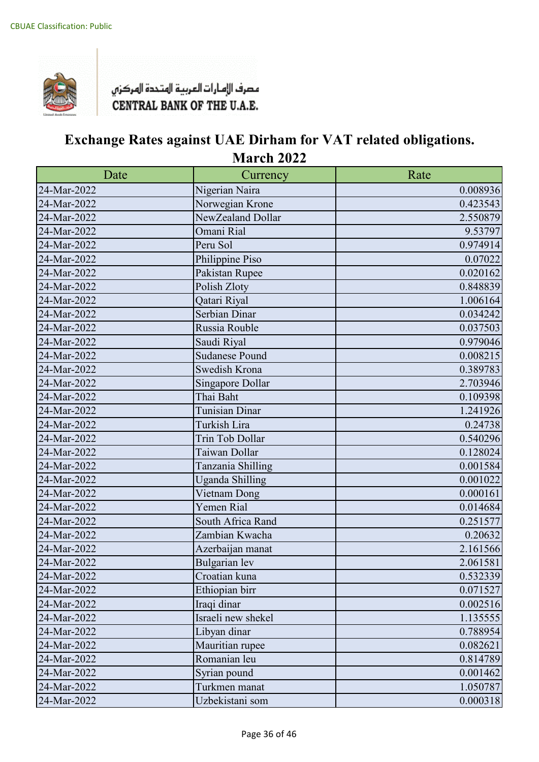

| Date        | Currency               | Rate     |
|-------------|------------------------|----------|
| 24-Mar-2022 | Nigerian Naira         | 0.008936 |
| 24-Mar-2022 | Norwegian Krone        | 0.423543 |
| 24-Mar-2022 | NewZealand Dollar      | 2.550879 |
| 24-Mar-2022 | Omani Rial             | 9.53797  |
| 24-Mar-2022 | Peru Sol               | 0.974914 |
| 24-Mar-2022 | Philippine Piso        | 0.07022  |
| 24-Mar-2022 | Pakistan Rupee         | 0.020162 |
| 24-Mar-2022 | Polish Zloty           | 0.848839 |
| 24-Mar-2022 | Qatari Riyal           | 1.006164 |
| 24-Mar-2022 | Serbian Dinar          | 0.034242 |
| 24-Mar-2022 | Russia Rouble          | 0.037503 |
| 24-Mar-2022 | Saudi Riyal            | 0.979046 |
| 24-Mar-2022 | <b>Sudanese Pound</b>  | 0.008215 |
| 24-Mar-2022 | Swedish Krona          | 0.389783 |
| 24-Mar-2022 | Singapore Dollar       | 2.703946 |
| 24-Mar-2022 | Thai Baht              | 0.109398 |
| 24-Mar-2022 | Tunisian Dinar         | 1.241926 |
| 24-Mar-2022 | Turkish Lira           | 0.24738  |
| 24-Mar-2022 | Trin Tob Dollar        | 0.540296 |
| 24-Mar-2022 | Taiwan Dollar          | 0.128024 |
| 24-Mar-2022 | Tanzania Shilling      | 0.001584 |
| 24-Mar-2022 | <b>Uganda Shilling</b> | 0.001022 |
| 24-Mar-2022 | Vietnam Dong           | 0.000161 |
| 24-Mar-2022 | Yemen Rial             | 0.014684 |
| 24-Mar-2022 | South Africa Rand      | 0.251577 |
| 24-Mar-2022 | Zambian Kwacha         | 0.20632  |
| 24-Mar-2022 | Azerbaijan manat       | 2.161566 |
| 24-Mar-2022 | <b>Bulgarian</b> lev   | 2.061581 |
| 24-Mar-2022 | Croatian kuna          | 0.532339 |
| 24-Mar-2022 | Ethiopian birr         | 0.071527 |
| 24-Mar-2022 | Iraqi dinar            | 0.002516 |
| 24-Mar-2022 | Israeli new shekel     | 1.135555 |
| 24-Mar-2022 | Libyan dinar           | 0.788954 |
| 24-Mar-2022 | Mauritian rupee        | 0.082621 |
| 24-Mar-2022 | Romanian leu           | 0.814789 |
| 24-Mar-2022 | Syrian pound           | 0.001462 |
| 24-Mar-2022 | Turkmen manat          | 1.050787 |
| 24-Mar-2022 | Uzbekistani som        | 0.000318 |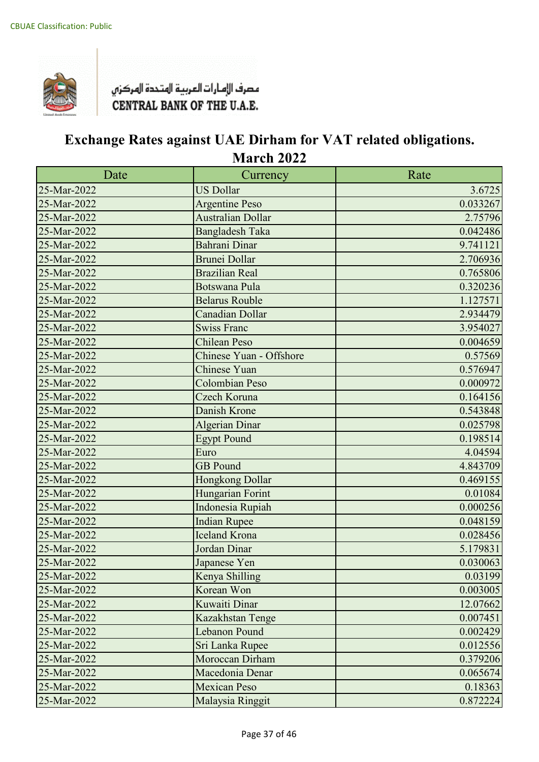

| Date        | Currency                 | Rate     |
|-------------|--------------------------|----------|
| 25-Mar-2022 | <b>US Dollar</b>         | 3.6725   |
| 25-Mar-2022 | <b>Argentine Peso</b>    | 0.033267 |
| 25-Mar-2022 | <b>Australian Dollar</b> | 2.75796  |
| 25-Mar-2022 | <b>Bangladesh Taka</b>   | 0.042486 |
| 25-Mar-2022 | Bahrani Dinar            | 9.741121 |
| 25-Mar-2022 | <b>Brunei Dollar</b>     | 2.706936 |
| 25-Mar-2022 | <b>Brazilian Real</b>    | 0.765806 |
| 25-Mar-2022 | <b>Botswana Pula</b>     | 0.320236 |
| 25-Mar-2022 | <b>Belarus Rouble</b>    | 1.127571 |
| 25-Mar-2022 | <b>Canadian Dollar</b>   | 2.934479 |
| 25-Mar-2022 | <b>Swiss Franc</b>       | 3.954027 |
| 25-Mar-2022 | <b>Chilean Peso</b>      | 0.004659 |
| 25-Mar-2022 | Chinese Yuan - Offshore  | 0.57569  |
| 25-Mar-2022 | Chinese Yuan             | 0.576947 |
| 25-Mar-2022 | <b>Colombian Peso</b>    | 0.000972 |
| 25-Mar-2022 | Czech Koruna             | 0.164156 |
| 25-Mar-2022 | Danish Krone             | 0.543848 |
| 25-Mar-2022 | <b>Algerian Dinar</b>    | 0.025798 |
| 25-Mar-2022 | <b>Egypt Pound</b>       | 0.198514 |
| 25-Mar-2022 | Euro                     | 4.04594  |
| 25-Mar-2022 | <b>GB</b> Pound          | 4.843709 |
| 25-Mar-2022 | Hongkong Dollar          | 0.469155 |
| 25-Mar-2022 | Hungarian Forint         | 0.01084  |
| 25-Mar-2022 | Indonesia Rupiah         | 0.000256 |
| 25-Mar-2022 | <b>Indian Rupee</b>      | 0.048159 |
| 25-Mar-2022 | <b>Iceland Krona</b>     | 0.028456 |
| 25-Mar-2022 | Jordan Dinar             | 5.179831 |
| 25-Mar-2022 | Japanese Yen             | 0.030063 |
| 25-Mar-2022 | Kenya Shilling           | 0.03199  |
| 25-Mar-2022 | Korean Won               | 0.003005 |
| 25-Mar-2022 | Kuwaiti Dinar            | 12.07662 |
| 25-Mar-2022 | Kazakhstan Tenge         | 0.007451 |
| 25-Mar-2022 | <b>Lebanon Pound</b>     | 0.002429 |
| 25-Mar-2022 | Sri Lanka Rupee          | 0.012556 |
| 25-Mar-2022 | Moroccan Dirham          | 0.379206 |
| 25-Mar-2022 | Macedonia Denar          | 0.065674 |
| 25-Mar-2022 | <b>Mexican Peso</b>      | 0.18363  |
| 25-Mar-2022 | Malaysia Ringgit         | 0.872224 |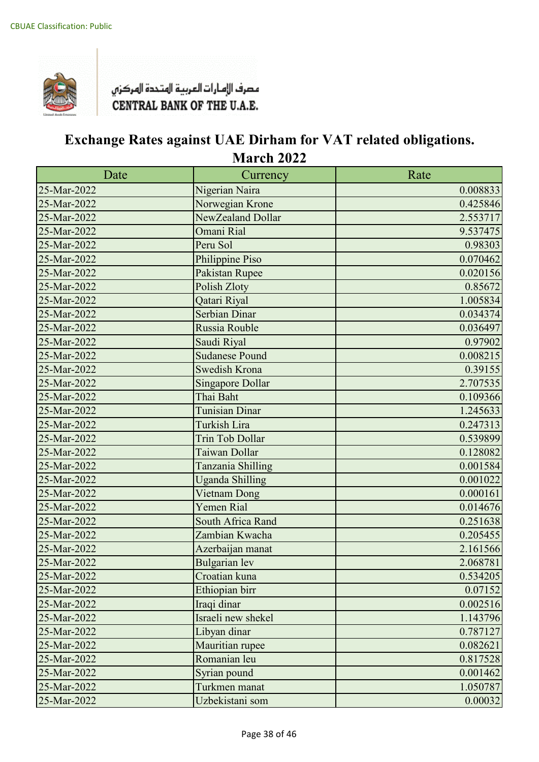

| Date        | Currency                | Rate     |
|-------------|-------------------------|----------|
| 25-Mar-2022 | Nigerian Naira          | 0.008833 |
| 25-Mar-2022 | Norwegian Krone         | 0.425846 |
| 25-Mar-2022 | NewZealand Dollar       | 2.553717 |
| 25-Mar-2022 | Omani Rial              | 9.537475 |
| 25-Mar-2022 | Peru Sol                | 0.98303  |
| 25-Mar-2022 | Philippine Piso         | 0.070462 |
| 25-Mar-2022 | Pakistan Rupee          | 0.020156 |
| 25-Mar-2022 | Polish Zloty            | 0.85672  |
| 25-Mar-2022 | Qatari Riyal            | 1.005834 |
| 25-Mar-2022 | <b>Serbian Dinar</b>    | 0.034374 |
| 25-Mar-2022 | Russia Rouble           | 0.036497 |
| 25-Mar-2022 | Saudi Riyal             | 0.97902  |
| 25-Mar-2022 | <b>Sudanese Pound</b>   | 0.008215 |
| 25-Mar-2022 | <b>Swedish Krona</b>    | 0.39155  |
| 25-Mar-2022 | <b>Singapore Dollar</b> | 2.707535 |
| 25-Mar-2022 | Thai Baht               | 0.109366 |
| 25-Mar-2022 | <b>Tunisian Dinar</b>   | 1.245633 |
| 25-Mar-2022 | <b>Turkish Lira</b>     | 0.247313 |
| 25-Mar-2022 | Trin Tob Dollar         | 0.539899 |
| 25-Mar-2022 | Taiwan Dollar           | 0.128082 |
| 25-Mar-2022 | Tanzania Shilling       | 0.001584 |
| 25-Mar-2022 | <b>Uganda Shilling</b>  | 0.001022 |
| 25-Mar-2022 | Vietnam Dong            | 0.000161 |
| 25-Mar-2022 | Yemen Rial              | 0.014676 |
| 25-Mar-2022 | South Africa Rand       | 0.251638 |
| 25-Mar-2022 | Zambian Kwacha          | 0.205455 |
| 25-Mar-2022 | Azerbaijan manat        | 2.161566 |
| 25-Mar-2022 | <b>Bulgarian</b> lev    | 2.068781 |
| 25-Mar-2022 | Croatian kuna           | 0.534205 |
| 25-Mar-2022 | Ethiopian birr          | 0.07152  |
| 25-Mar-2022 | Iraqi dinar             | 0.002516 |
| 25-Mar-2022 | Israeli new shekel      | 1.143796 |
| 25-Mar-2022 | Libyan dinar            | 0.787127 |
| 25-Mar-2022 | Mauritian rupee         | 0.082621 |
| 25-Mar-2022 | Romanian leu            | 0.817528 |
| 25-Mar-2022 | Syrian pound            | 0.001462 |
| 25-Mar-2022 | Turkmen manat           | 1.050787 |
| 25-Mar-2022 | Uzbekistani som         | 0.00032  |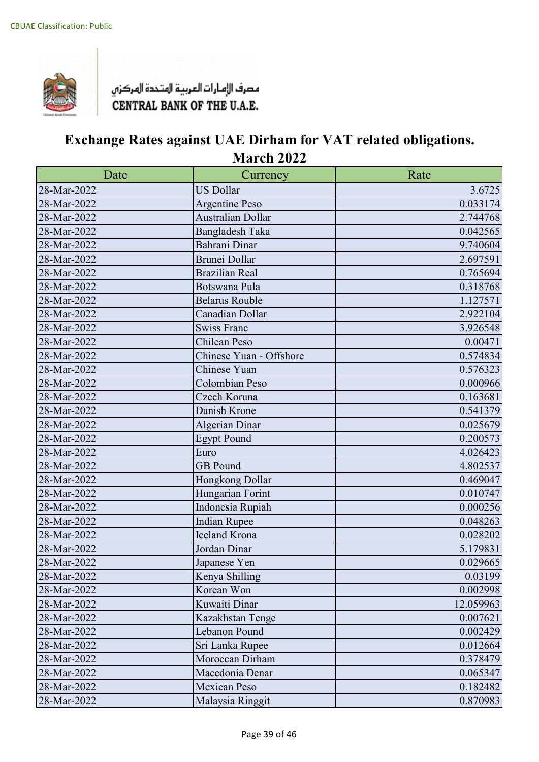

| Date        | Currency                 | Rate      |
|-------------|--------------------------|-----------|
| 28-Mar-2022 | <b>US Dollar</b>         | 3.6725    |
| 28-Mar-2022 | <b>Argentine Peso</b>    | 0.033174  |
| 28-Mar-2022 | <b>Australian Dollar</b> | 2.744768  |
| 28-Mar-2022 | <b>Bangladesh Taka</b>   | 0.042565  |
| 28-Mar-2022 | Bahrani Dinar            | 9.740604  |
| 28-Mar-2022 | <b>Brunei Dollar</b>     | 2.697591  |
| 28-Mar-2022 | <b>Brazilian Real</b>    | 0.765694  |
| 28-Mar-2022 | Botswana Pula            | 0.318768  |
| 28-Mar-2022 | <b>Belarus Rouble</b>    | 1.127571  |
| 28-Mar-2022 | Canadian Dollar          | 2.922104  |
| 28-Mar-2022 | <b>Swiss Franc</b>       | 3.926548  |
| 28-Mar-2022 | Chilean Peso             | 0.00471   |
| 28-Mar-2022 | Chinese Yuan - Offshore  | 0.574834  |
| 28-Mar-2022 | Chinese Yuan             | 0.576323  |
| 28-Mar-2022 | Colombian Peso           | 0.000966  |
| 28-Mar-2022 | Czech Koruna             | 0.163681  |
| 28-Mar-2022 | Danish Krone             | 0.541379  |
| 28-Mar-2022 | <b>Algerian Dinar</b>    | 0.025679  |
| 28-Mar-2022 | <b>Egypt Pound</b>       | 0.200573  |
| 28-Mar-2022 | Euro                     | 4.026423  |
| 28-Mar-2022 | <b>GB</b> Pound          | 4.802537  |
| 28-Mar-2022 | Hongkong Dollar          | 0.469047  |
| 28-Mar-2022 | Hungarian Forint         | 0.010747  |
| 28-Mar-2022 | Indonesia Rupiah         | 0.000256  |
| 28-Mar-2022 | <b>Indian Rupee</b>      | 0.048263  |
| 28-Mar-2022 | <b>Iceland Krona</b>     | 0.028202  |
| 28-Mar-2022 | Jordan Dinar             | 5.179831  |
| 28-Mar-2022 | Japanese Yen             | 0.029665  |
| 28-Mar-2022 | Kenya Shilling           | 0.03199   |
| 28-Mar-2022 | Korean Won               | 0.002998  |
| 28-Mar-2022 | Kuwaiti Dinar            | 12.059963 |
| 28-Mar-2022 | Kazakhstan Tenge         | 0.007621  |
| 28-Mar-2022 | Lebanon Pound            | 0.002429  |
| 28-Mar-2022 | Sri Lanka Rupee          | 0.012664  |
| 28-Mar-2022 | Moroccan Dirham          | 0.378479  |
| 28-Mar-2022 | Macedonia Denar          | 0.065347  |
| 28-Mar-2022 | <b>Mexican Peso</b>      | 0.182482  |
| 28-Mar-2022 | Malaysia Ringgit         | 0.870983  |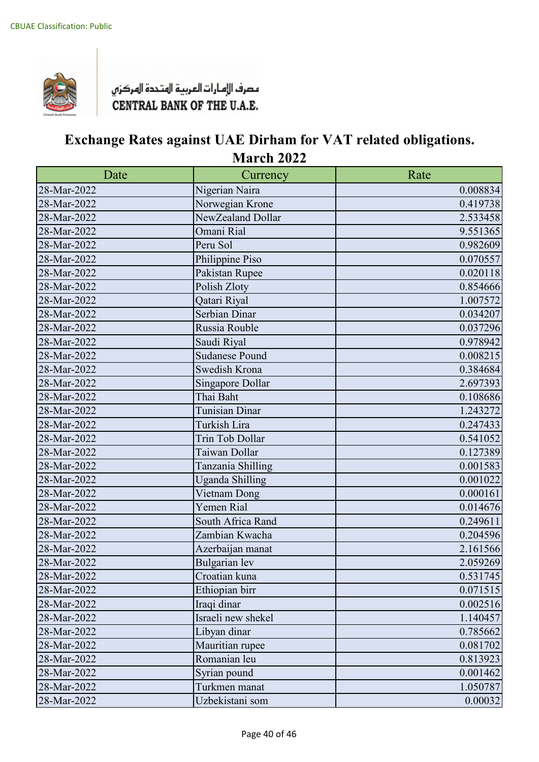

| Date        | Currency               | Rate     |
|-------------|------------------------|----------|
| 28-Mar-2022 | Nigerian Naira         | 0.008834 |
| 28-Mar-2022 | Norwegian Krone        | 0.419738 |
| 28-Mar-2022 | NewZealand Dollar      | 2.533458 |
| 28-Mar-2022 | Omani Rial             | 9.551365 |
| 28-Mar-2022 | Peru Sol               | 0.982609 |
| 28-Mar-2022 | Philippine Piso        | 0.070557 |
| 28-Mar-2022 | Pakistan Rupee         | 0.020118 |
| 28-Mar-2022 | Polish Zloty           | 0.854666 |
| 28-Mar-2022 | Qatari Riyal           | 1.007572 |
| 28-Mar-2022 | Serbian Dinar          | 0.034207 |
| 28-Mar-2022 | Russia Rouble          | 0.037296 |
| 28-Mar-2022 | Saudi Riyal            | 0.978942 |
| 28-Mar-2022 | <b>Sudanese Pound</b>  | 0.008215 |
| 28-Mar-2022 | Swedish Krona          | 0.384684 |
| 28-Mar-2022 | Singapore Dollar       | 2.697393 |
| 28-Mar-2022 | Thai Baht              | 0.108686 |
| 28-Mar-2022 | Tunisian Dinar         | 1.243272 |
| 28-Mar-2022 | Turkish Lira           | 0.247433 |
| 28-Mar-2022 | Trin Tob Dollar        | 0.541052 |
| 28-Mar-2022 | Taiwan Dollar          | 0.127389 |
| 28-Mar-2022 | Tanzania Shilling      | 0.001583 |
| 28-Mar-2022 | <b>Uganda Shilling</b> | 0.001022 |
| 28-Mar-2022 | Vietnam Dong           | 0.000161 |
| 28-Mar-2022 | Yemen Rial             | 0.014676 |
| 28-Mar-2022 | South Africa Rand      | 0.249611 |
| 28-Mar-2022 | Zambian Kwacha         | 0.204596 |
| 28-Mar-2022 | Azerbaijan manat       | 2.161566 |
| 28-Mar-2022 | Bulgarian lev          | 2.059269 |
| 28-Mar-2022 | Croatian kuna          | 0.531745 |
| 28-Mar-2022 | Ethiopian birr         | 0.071515 |
| 28-Mar-2022 | Iraqi dinar            | 0.002516 |
| 28-Mar-2022 | Israeli new shekel     | 1.140457 |
| 28-Mar-2022 | Libyan dinar           | 0.785662 |
| 28-Mar-2022 | Mauritian rupee        | 0.081702 |
| 28-Mar-2022 | Romanian leu           | 0.813923 |
| 28-Mar-2022 | Syrian pound           | 0.001462 |
| 28-Mar-2022 | Turkmen manat          | 1.050787 |
| 28-Mar-2022 | Uzbekistani som        | 0.00032  |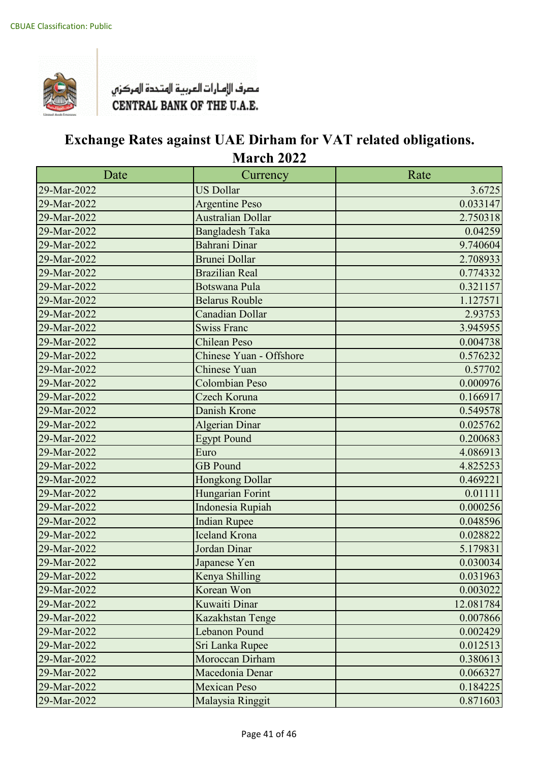

| Date        | Currency                 | Rate      |
|-------------|--------------------------|-----------|
| 29-Mar-2022 | <b>US Dollar</b>         | 3.6725    |
| 29-Mar-2022 | <b>Argentine Peso</b>    | 0.033147  |
| 29-Mar-2022 | <b>Australian Dollar</b> | 2.750318  |
| 29-Mar-2022 | <b>Bangladesh Taka</b>   | 0.04259   |
| 29-Mar-2022 | Bahrani Dinar            | 9.740604  |
| 29-Mar-2022 | Brunei Dollar            | 2.708933  |
| 29-Mar-2022 | <b>Brazilian Real</b>    | 0.774332  |
| 29-Mar-2022 | <b>Botswana Pula</b>     | 0.321157  |
| 29-Mar-2022 | <b>Belarus Rouble</b>    | 1.127571  |
| 29-Mar-2022 | Canadian Dollar          | 2.93753   |
| 29-Mar-2022 | <b>Swiss Franc</b>       | 3.945955  |
| 29-Mar-2022 | <b>Chilean Peso</b>      | 0.004738  |
| 29-Mar-2022 | Chinese Yuan - Offshore  | 0.576232  |
| 29-Mar-2022 | <b>Chinese Yuan</b>      | 0.57702   |
| 29-Mar-2022 | <b>Colombian Peso</b>    | 0.000976  |
| 29-Mar-2022 | Czech Koruna             | 0.166917  |
| 29-Mar-2022 | Danish Krone             | 0.549578  |
| 29-Mar-2022 | <b>Algerian Dinar</b>    | 0.025762  |
| 29-Mar-2022 | <b>Egypt Pound</b>       | 0.200683  |
| 29-Mar-2022 | Euro                     | 4.086913  |
| 29-Mar-2022 | <b>GB</b> Pound          | 4.825253  |
| 29-Mar-2022 | Hongkong Dollar          | 0.469221  |
| 29-Mar-2022 | Hungarian Forint         | 0.01111   |
| 29-Mar-2022 | Indonesia Rupiah         | 0.000256  |
| 29-Mar-2022 | <b>Indian Rupee</b>      | 0.048596  |
| 29-Mar-2022 | <b>Iceland Krona</b>     | 0.028822  |
| 29-Mar-2022 | Jordan Dinar             | 5.179831  |
| 29-Mar-2022 | Japanese Yen             | 0.030034  |
| 29-Mar-2022 | Kenya Shilling           | 0.031963  |
| 29-Mar-2022 | Korean Won               | 0.003022  |
| 29-Mar-2022 | Kuwaiti Dinar            | 12.081784 |
| 29-Mar-2022 | Kazakhstan Tenge         | 0.007866  |
| 29-Mar-2022 | <b>Lebanon Pound</b>     | 0.002429  |
| 29-Mar-2022 | Sri Lanka Rupee          | 0.012513  |
| 29-Mar-2022 | Moroccan Dirham          | 0.380613  |
| 29-Mar-2022 | Macedonia Denar          | 0.066327  |
| 29-Mar-2022 | <b>Mexican Peso</b>      | 0.184225  |
| 29-Mar-2022 | Malaysia Ringgit         | 0.871603  |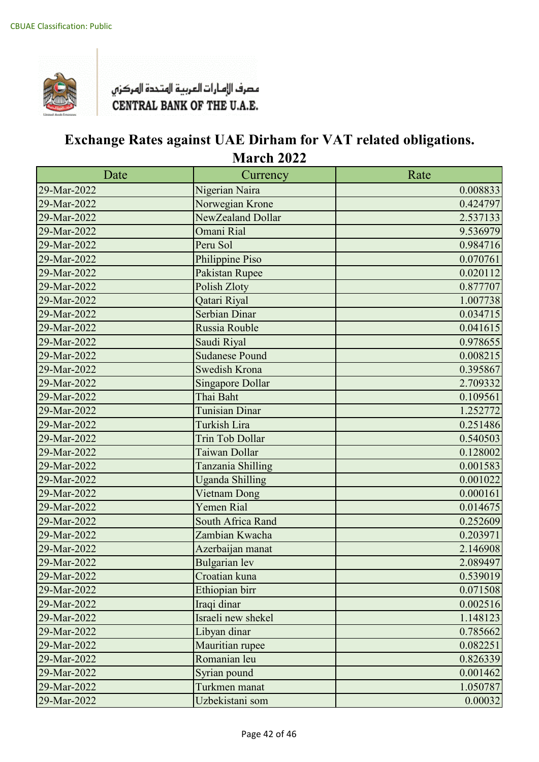

| Date        | Currency               | Rate     |
|-------------|------------------------|----------|
| 29-Mar-2022 | Nigerian Naira         | 0.008833 |
| 29-Mar-2022 | Norwegian Krone        | 0.424797 |
| 29-Mar-2022 | NewZealand Dollar      | 2.537133 |
| 29-Mar-2022 | Omani Rial             | 9.536979 |
| 29-Mar-2022 | Peru Sol               | 0.984716 |
| 29-Mar-2022 | Philippine Piso        | 0.070761 |
| 29-Mar-2022 | Pakistan Rupee         | 0.020112 |
| 29-Mar-2022 | Polish Zloty           | 0.877707 |
| 29-Mar-2022 | Qatari Riyal           | 1.007738 |
| 29-Mar-2022 | Serbian Dinar          | 0.034715 |
| 29-Mar-2022 | Russia Rouble          | 0.041615 |
| 29-Mar-2022 | Saudi Riyal            | 0.978655 |
| 29-Mar-2022 | Sudanese Pound         | 0.008215 |
| 29-Mar-2022 | <b>Swedish Krona</b>   | 0.395867 |
| 29-Mar-2022 | Singapore Dollar       | 2.709332 |
| 29-Mar-2022 | Thai Baht              | 0.109561 |
| 29-Mar-2022 | <b>Tunisian Dinar</b>  | 1.252772 |
| 29-Mar-2022 | Turkish Lira           | 0.251486 |
| 29-Mar-2022 | Trin Tob Dollar        | 0.540503 |
| 29-Mar-2022 | Taiwan Dollar          | 0.128002 |
| 29-Mar-2022 | Tanzania Shilling      | 0.001583 |
| 29-Mar-2022 | <b>Uganda Shilling</b> | 0.001022 |
| 29-Mar-2022 | Vietnam Dong           | 0.000161 |
| 29-Mar-2022 | Yemen Rial             | 0.014675 |
| 29-Mar-2022 | South Africa Rand      | 0.252609 |
| 29-Mar-2022 | Zambian Kwacha         | 0.203971 |
| 29-Mar-2022 | Azerbaijan manat       | 2.146908 |
| 29-Mar-2022 | <b>Bulgarian</b> lev   | 2.089497 |
| 29-Mar-2022 | Croatian kuna          | 0.539019 |
| 29-Mar-2022 | Ethiopian birr         | 0.071508 |
| 29-Mar-2022 | Iraqi dinar            | 0.002516 |
| 29-Mar-2022 | Israeli new shekel     | 1.148123 |
| 29-Mar-2022 | Libyan dinar           | 0.785662 |
| 29-Mar-2022 | Mauritian rupee        | 0.082251 |
| 29-Mar-2022 | Romanian leu           | 0.826339 |
| 29-Mar-2022 | Syrian pound           | 0.001462 |
| 29-Mar-2022 | Turkmen manat          | 1.050787 |
| 29-Mar-2022 | Uzbekistani som        | 0.00032  |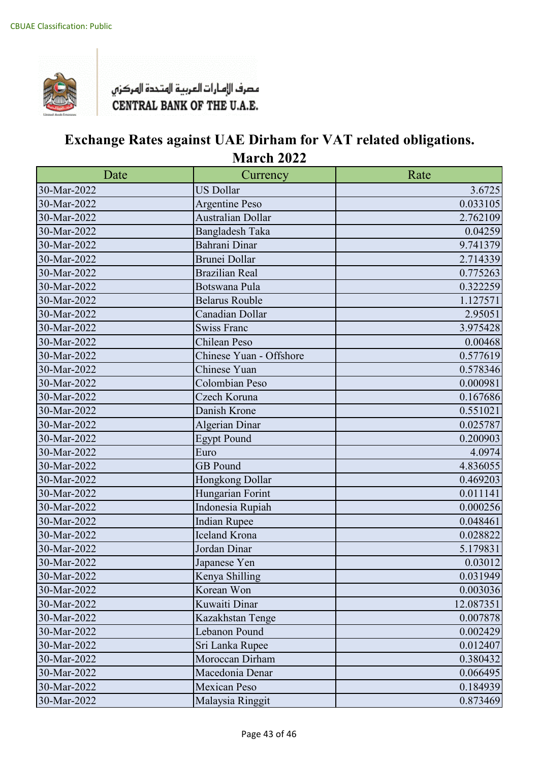

| Date        | Currency                 | Rate      |
|-------------|--------------------------|-----------|
| 30-Mar-2022 | <b>US Dollar</b>         | 3.6725    |
| 30-Mar-2022 | <b>Argentine Peso</b>    | 0.033105  |
| 30-Mar-2022 | <b>Australian Dollar</b> | 2.762109  |
| 30-Mar-2022 | <b>Bangladesh Taka</b>   | 0.04259   |
| 30-Mar-2022 | Bahrani Dinar            | 9.741379  |
| 30-Mar-2022 | <b>Brunei Dollar</b>     | 2.714339  |
| 30-Mar-2022 | <b>Brazilian Real</b>    | 0.775263  |
| 30-Mar-2022 | Botswana Pula            | 0.322259  |
| 30-Mar-2022 | <b>Belarus Rouble</b>    | 1.127571  |
| 30-Mar-2022 | Canadian Dollar          | 2.95051   |
| 30-Mar-2022 | <b>Swiss Franc</b>       | 3.975428  |
| 30-Mar-2022 | Chilean Peso             | 0.00468   |
| 30-Mar-2022 | Chinese Yuan - Offshore  | 0.577619  |
| 30-Mar-2022 | Chinese Yuan             | 0.578346  |
| 30-Mar-2022 | Colombian Peso           | 0.000981  |
| 30-Mar-2022 | Czech Koruna             | 0.167686  |
| 30-Mar-2022 | Danish Krone             | 0.551021  |
| 30-Mar-2022 | <b>Algerian Dinar</b>    | 0.025787  |
| 30-Mar-2022 | <b>Egypt Pound</b>       | 0.200903  |
| 30-Mar-2022 | Euro                     | 4.0974    |
| 30-Mar-2022 | <b>GB</b> Pound          | 4.836055  |
| 30-Mar-2022 | Hongkong Dollar          | 0.469203  |
| 30-Mar-2022 | Hungarian Forint         | 0.011141  |
| 30-Mar-2022 | Indonesia Rupiah         | 0.000256  |
| 30-Mar-2022 | <b>Indian Rupee</b>      | 0.048461  |
| 30-Mar-2022 | Iceland Krona            | 0.028822  |
| 30-Mar-2022 | Jordan Dinar             | 5.179831  |
| 30-Mar-2022 | Japanese Yen             | 0.03012   |
| 30-Mar-2022 | Kenya Shilling           | 0.031949  |
| 30-Mar-2022 | Korean Won               | 0.003036  |
| 30-Mar-2022 | Kuwaiti Dinar            | 12.087351 |
| 30-Mar-2022 | Kazakhstan Tenge         | 0.007878  |
| 30-Mar-2022 | Lebanon Pound            | 0.002429  |
| 30-Mar-2022 | Sri Lanka Rupee          | 0.012407  |
| 30-Mar-2022 | Moroccan Dirham          | 0.380432  |
| 30-Mar-2022 | Macedonia Denar          | 0.066495  |
| 30-Mar-2022 | <b>Mexican Peso</b>      | 0.184939  |
| 30-Mar-2022 | Malaysia Ringgit         | 0.873469  |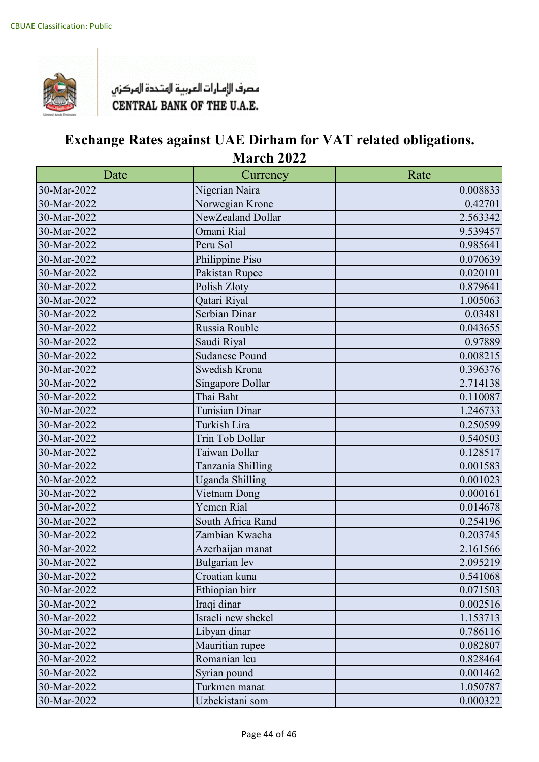

| Date        | Currency               | Rate     |
|-------------|------------------------|----------|
| 30-Mar-2022 | Nigerian Naira         | 0.008833 |
| 30-Mar-2022 | Norwegian Krone        | 0.42701  |
| 30-Mar-2022 | NewZealand Dollar      | 2.563342 |
| 30-Mar-2022 | Omani Rial             | 9.539457 |
| 30-Mar-2022 | Peru Sol               | 0.985641 |
| 30-Mar-2022 | Philippine Piso        | 0.070639 |
| 30-Mar-2022 | Pakistan Rupee         | 0.020101 |
| 30-Mar-2022 | Polish Zloty           | 0.879641 |
| 30-Mar-2022 | Qatari Riyal           | 1.005063 |
| 30-Mar-2022 | Serbian Dinar          | 0.03481  |
| 30-Mar-2022 | Russia Rouble          | 0.043655 |
| 30-Mar-2022 | Saudi Riyal            | 0.97889  |
| 30-Mar-2022 | <b>Sudanese Pound</b>  | 0.008215 |
| 30-Mar-2022 | Swedish Krona          | 0.396376 |
| 30-Mar-2022 | Singapore Dollar       | 2.714138 |
| 30-Mar-2022 | Thai Baht              | 0.110087 |
| 30-Mar-2022 | <b>Tunisian Dinar</b>  | 1.246733 |
| 30-Mar-2022 | Turkish Lira           | 0.250599 |
| 30-Mar-2022 | Trin Tob Dollar        | 0.540503 |
| 30-Mar-2022 | Taiwan Dollar          | 0.128517 |
| 30-Mar-2022 | Tanzania Shilling      | 0.001583 |
| 30-Mar-2022 | <b>Uganda Shilling</b> | 0.001023 |
| 30-Mar-2022 | Vietnam Dong           | 0.000161 |
| 30-Mar-2022 | Yemen Rial             | 0.014678 |
| 30-Mar-2022 | South Africa Rand      | 0.254196 |
| 30-Mar-2022 | Zambian Kwacha         | 0.203745 |
| 30-Mar-2022 | Azerbaijan manat       | 2.161566 |
| 30-Mar-2022 | <b>Bulgarian</b> lev   | 2.095219 |
| 30-Mar-2022 | Croatian kuna          | 0.541068 |
| 30-Mar-2022 | Ethiopian birr         | 0.071503 |
| 30-Mar-2022 | Iraqi dinar            | 0.002516 |
| 30-Mar-2022 | Israeli new shekel     | 1.153713 |
| 30-Mar-2022 | Libyan dinar           | 0.786116 |
| 30-Mar-2022 | Mauritian rupee        | 0.082807 |
| 30-Mar-2022 | Romanian leu           | 0.828464 |
| 30-Mar-2022 | Syrian pound           | 0.001462 |
| 30-Mar-2022 | Turkmen manat          | 1.050787 |
| 30-Mar-2022 | Uzbekistani som        | 0.000322 |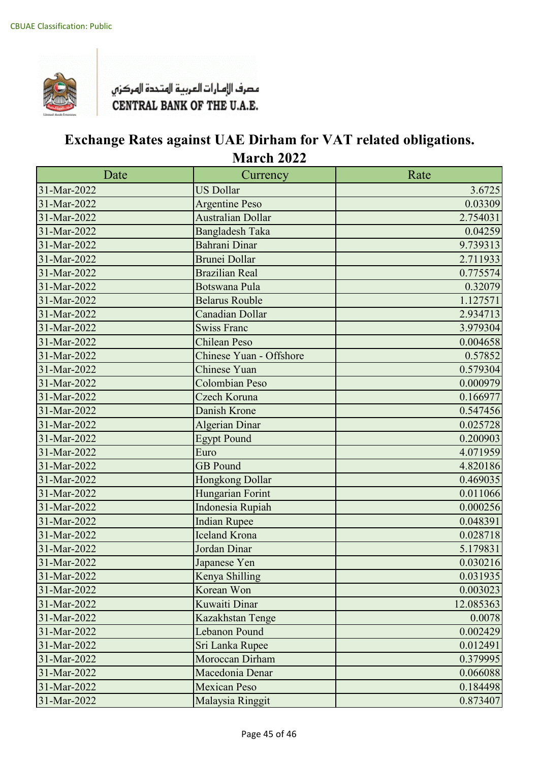

| Date        | Currency                 | Rate      |
|-------------|--------------------------|-----------|
| 31-Mar-2022 | <b>US Dollar</b>         | 3.6725    |
| 31-Mar-2022 | <b>Argentine Peso</b>    | 0.03309   |
| 31-Mar-2022 | <b>Australian Dollar</b> | 2.754031  |
| 31-Mar-2022 | <b>Bangladesh Taka</b>   | 0.04259   |
| 31-Mar-2022 | Bahrani Dinar            | 9.739313  |
| 31-Mar-2022 | Brunei Dollar            | 2.711933  |
| 31-Mar-2022 | <b>Brazilian Real</b>    | 0.775574  |
| 31-Mar-2022 | <b>Botswana Pula</b>     | 0.32079   |
| 31-Mar-2022 | <b>Belarus Rouble</b>    | 1.127571  |
| 31-Mar-2022 | Canadian Dollar          | 2.934713  |
| 31-Mar-2022 | <b>Swiss Franc</b>       | 3.979304  |
| 31-Mar-2022 | <b>Chilean Peso</b>      | 0.004658  |
| 31-Mar-2022 | Chinese Yuan - Offshore  | 0.57852   |
| 31-Mar-2022 | <b>Chinese Yuan</b>      | 0.579304  |
| 31-Mar-2022 | <b>Colombian Peso</b>    | 0.000979  |
| 31-Mar-2022 | Czech Koruna             | 0.166977  |
| 31-Mar-2022 | Danish Krone             | 0.547456  |
| 31-Mar-2022 | <b>Algerian Dinar</b>    | 0.025728  |
| 31-Mar-2022 | <b>Egypt Pound</b>       | 0.200903  |
| 31-Mar-2022 | Euro                     | 4.071959  |
| 31-Mar-2022 | <b>GB</b> Pound          | 4.820186  |
| 31-Mar-2022 | Hongkong Dollar          | 0.469035  |
| 31-Mar-2022 | Hungarian Forint         | 0.011066  |
| 31-Mar-2022 | Indonesia Rupiah         | 0.000256  |
| 31-Mar-2022 | <b>Indian Rupee</b>      | 0.048391  |
| 31-Mar-2022 | <b>Iceland Krona</b>     | 0.028718  |
| 31-Mar-2022 | Jordan Dinar             | 5.179831  |
| 31-Mar-2022 | Japanese Yen             | 0.030216  |
| 31-Mar-2022 | Kenya Shilling           | 0.031935  |
| 31-Mar-2022 | Korean Won               | 0.003023  |
| 31-Mar-2022 | Kuwaiti Dinar            | 12.085363 |
| 31-Mar-2022 | Kazakhstan Tenge         | 0.0078    |
| 31-Mar-2022 | Lebanon Pound            | 0.002429  |
| 31-Mar-2022 | Sri Lanka Rupee          | 0.012491  |
| 31-Mar-2022 | Moroccan Dirham          | 0.379995  |
| 31-Mar-2022 | Macedonia Denar          | 0.066088  |
| 31-Mar-2022 | <b>Mexican Peso</b>      | 0.184498  |
| 31-Mar-2022 | Malaysia Ringgit         | 0.873407  |